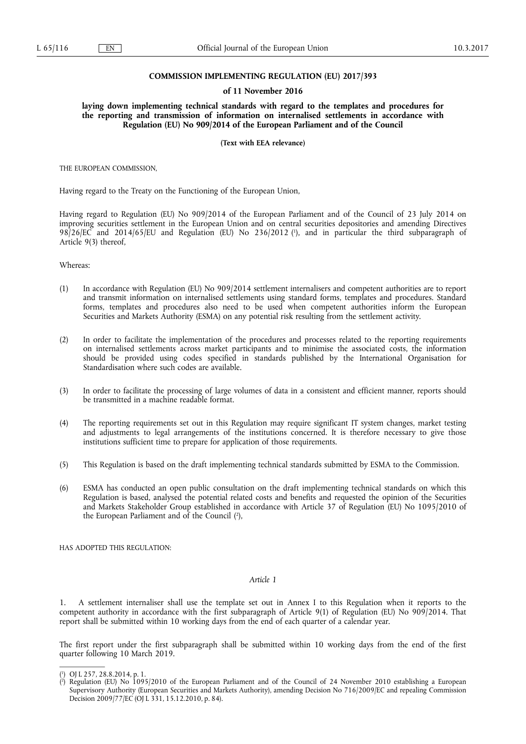#### **COMMISSION IMPLEMENTING REGULATION (EU) 2017/393**

#### **of 11 November 2016**

**laying down implementing technical standards with regard to the templates and procedures for the reporting and transmission of information on internalised settlements in accordance with Regulation (EU) No 909/2014 of the European Parliament and of the Council** 

**(Text with EEA relevance)** 

THE EUROPEAN COMMISSION,

Having regard to the Treaty on the Functioning of the European Union,

Having regard to Regulation (EU) No 909/2014 of the European Parliament and of the Council of 23 July 2014 on improving securities settlement in the European Union and on central securities depositories and amending Directives 98/26/EC and 2014/65/EU and Regulation (EU) No 236/2012 ( 1 ), and in particular the third subparagraph of Article 9(3) thereof,

Whereas:

- (1) In accordance with Regulation (EU) No 909/2014 settlement internalisers and competent authorities are to report and transmit information on internalised settlements using standard forms, templates and procedures. Standard forms, templates and procedures also need to be used when competent authorities inform the European Securities and Markets Authority (ESMA) on any potential risk resulting from the settlement activity.
- (2) In order to facilitate the implementation of the procedures and processes related to the reporting requirements on internalised settlements across market participants and to minimise the associated costs, the information should be provided using codes specified in standards published by the International Organisation for Standardisation where such codes are available.
- (3) In order to facilitate the processing of large volumes of data in a consistent and efficient manner, reports should be transmitted in a machine readable format.
- (4) The reporting requirements set out in this Regulation may require significant IT system changes, market testing and adjustments to legal arrangements of the institutions concerned. It is therefore necessary to give those institutions sufficient time to prepare for application of those requirements.
- (5) This Regulation is based on the draft implementing technical standards submitted by ESMA to the Commission.
- (6) ESMA has conducted an open public consultation on the draft implementing technical standards on which this Regulation is based, analysed the potential related costs and benefits and requested the opinion of the Securities and Markets Stakeholder Group established in accordance with Article 37 of Regulation (EU) No 1095/2010 of the European Parliament and of the Council ( 2 ),

HAS ADOPTED THIS REGULATION:

#### *Article 1*

1. A settlement internaliser shall use the template set out in Annex I to this Regulation when it reports to the competent authority in accordance with the first subparagraph of Article 9(1) of Regulation (EU) No 909/2014. That report shall be submitted within 10 working days from the end of each quarter of a calendar year.

The first report under the first subparagraph shall be submitted within 10 working days from the end of the first quarter following 10 March 2019.

<sup>(</sup> 1 ) OJ L 257, 28.8.2014, p. 1.

<sup>(</sup> 2 ) Regulation (EU) No 1095/2010 of the European Parliament and of the Council of 24 November 2010 establishing a European Supervisory Authority (European Securities and Markets Authority), amending Decision No 716/2009/EC and repealing Commission Decision 2009/77/EC (OJ L 331, 15.12.2010, p. 84).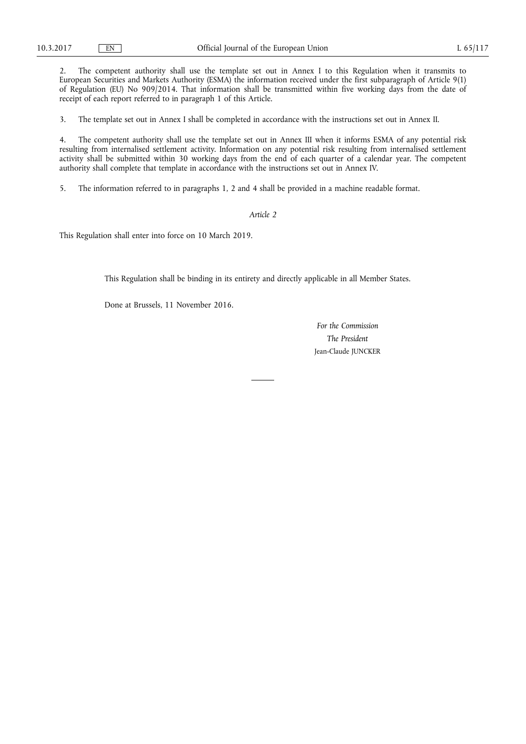2. The competent authority shall use the template set out in Annex I to this Regulation when it transmits to European Securities and Markets Authority (ESMA) the information received under the first subparagraph of Article 9(1) of Regulation (EU) No 909/2014. That information shall be transmitted within five working days from the date of receipt of each report referred to in paragraph 1 of this Article.

3. The template set out in Annex I shall be completed in accordance with the instructions set out in Annex II.

4. The competent authority shall use the template set out in Annex III when it informs ESMA of any potential risk resulting from internalised settlement activity. Information on any potential risk resulting from internalised settlement activity shall be submitted within 30 working days from the end of each quarter of a calendar year. The competent authority shall complete that template in accordance with the instructions set out in Annex IV.

5. The information referred to in paragraphs 1, 2 and 4 shall be provided in a machine readable format.

#### *Article 2*

This Regulation shall enter into force on 10 March 2019.

This Regulation shall be binding in its entirety and directly applicable in all Member States.

Done at Brussels, 11 November 2016.

*For the Commission The President*  Jean-Claude JUNCKER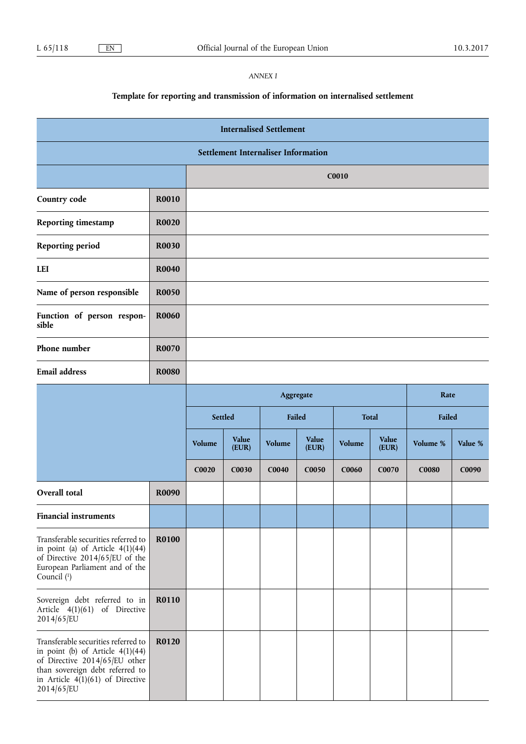## *ANNEX I*

# **Template for reporting and transmission of information on internalised settlement**

| <b>Internalised Settlement</b>                                                                                                                                                                    |              |                   |                |              |                |        |                |              |         |
|---------------------------------------------------------------------------------------------------------------------------------------------------------------------------------------------------|--------------|-------------------|----------------|--------------|----------------|--------|----------------|--------------|---------|
| <b>Settlement Internaliser Information</b>                                                                                                                                                        |              |                   |                |              |                |        |                |              |         |
|                                                                                                                                                                                                   |              |                   | C0010          |              |                |        |                |              |         |
| Country code                                                                                                                                                                                      | <b>R0010</b> |                   |                |              |                |        |                |              |         |
| <b>Reporting timestamp</b>                                                                                                                                                                        | <b>R0020</b> |                   |                |              |                |        |                |              |         |
| <b>Reporting period</b>                                                                                                                                                                           | R0030        |                   |                |              |                |        |                |              |         |
| <b>LEI</b>                                                                                                                                                                                        | <b>R0040</b> |                   |                |              |                |        |                |              |         |
| Name of person responsible                                                                                                                                                                        | <b>R0050</b> |                   |                |              |                |        |                |              |         |
| Function of person respon-<br>sible                                                                                                                                                               | <b>R0060</b> |                   |                |              |                |        |                |              |         |
| Phone number                                                                                                                                                                                      | R0070        |                   |                |              |                |        |                |              |         |
| <b>Email address</b>                                                                                                                                                                              | <b>R0080</b> |                   |                |              |                |        |                |              |         |
|                                                                                                                                                                                                   |              |                   |                | Aggregate    |                |        |                | Rate         |         |
|                                                                                                                                                                                                   |              | Settled<br>Failed |                | <b>Total</b> |                | Failed |                |              |         |
|                                                                                                                                                                                                   |              | Volume            | Value<br>(EUR) | Volume       | Value<br>(EUR) | Volume | Value<br>(EUR) | Volume %     | Value % |
|                                                                                                                                                                                                   |              | C0020             | C0030          | <b>C0040</b> | C0050          | C0060  | C0070          | <b>C0080</b> | C0090   |
| Overall total                                                                                                                                                                                     | R0090        |                   |                |              |                |        |                |              |         |
| <b>Financial instruments</b>                                                                                                                                                                      |              |                   |                |              |                |        |                |              |         |
| Transferable securities referred to<br>in point (a) of Article $4(1)(44)$<br>of Directive 2014/65/EU of the<br>European Parliament and of the<br>Council (1)                                      | <b>R0100</b> |                   |                |              |                |        |                |              |         |
| Sovereign debt referred to in<br>Article 4(1)(61) of Directive<br>2014/65/EU                                                                                                                      | R0110        |                   |                |              |                |        |                |              |         |
| Transferable securities referred to<br>in point (b) of Article $4(1)(44)$<br>of Directive 2014/65/EU other<br>than sovereign debt referred to<br>in Article $4(1)(61)$ of Directive<br>2014/65/EU | R0120        |                   |                |              |                |        |                |              |         |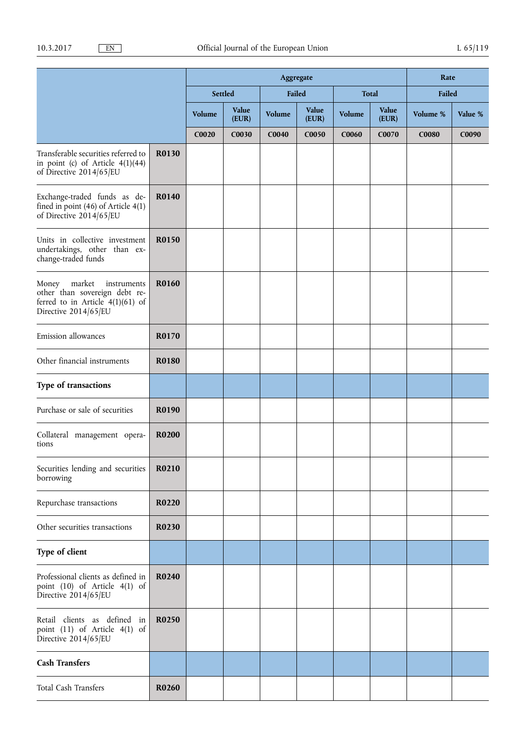|                                                                                                                               |              | Aggregate |                |              |                   | Rate         |                |              |         |
|-------------------------------------------------------------------------------------------------------------------------------|--------------|-----------|----------------|--------------|-------------------|--------------|----------------|--------------|---------|
|                                                                                                                               |              |           | Settled        | Failed       |                   |              | <b>Total</b>   | Failed       |         |
|                                                                                                                               |              | Volume    | Value<br>(EUR) | Volume       | Value<br>(EUR)    | Volume       | Value<br>(EUR) | Volume %     | Value % |
|                                                                                                                               |              | C0020     | C0030          | <b>C0040</b> | C <sub>0050</sub> | <b>C0060</b> | C0070          | <b>C0080</b> | C0090   |
| Transferable securities referred to<br>in point (c) of Article $4(1)(44)$<br>of Directive 2014/65/EU                          | R0130        |           |                |              |                   |              |                |              |         |
| Exchange-traded funds as de-<br>fined in point $(46)$ of Article $4(1)$<br>of Directive 2014/65/EU                            | R0140        |           |                |              |                   |              |                |              |         |
| Units in collective investment<br>undertakings, other than ex-<br>change-traded funds                                         | R0150        |           |                |              |                   |              |                |              |         |
| Money<br>market<br>instruments<br>other than sovereign debt re-<br>ferred to in Article $4(1)(61)$ of<br>Directive 2014/65/EU | <b>R0160</b> |           |                |              |                   |              |                |              |         |
| Emission allowances                                                                                                           | R0170        |           |                |              |                   |              |                |              |         |
| Other financial instruments                                                                                                   | <b>R0180</b> |           |                |              |                   |              |                |              |         |
| Type of transactions                                                                                                          |              |           |                |              |                   |              |                |              |         |
| Purchase or sale of securities                                                                                                | R0190        |           |                |              |                   |              |                |              |         |
| Collateral management opera-<br>tions                                                                                         | R0200        |           |                |              |                   |              |                |              |         |
| Securities lending and securities<br>borrowing                                                                                | R0210        |           |                |              |                   |              |                |              |         |
| Repurchase transactions                                                                                                       | R0220        |           |                |              |                   |              |                |              |         |
| Other securities transactions                                                                                                 | R0230        |           |                |              |                   |              |                |              |         |
| Type of client                                                                                                                |              |           |                |              |                   |              |                |              |         |
| Professional clients as defined in<br>point (10) of Article 4(1) of<br>Directive 2014/65/EU                                   | R0240        |           |                |              |                   |              |                |              |         |
| Retail clients as defined in<br>point (11) of Article 4(1) of<br>Directive 2014/65/EU                                         | R0250        |           |                |              |                   |              |                |              |         |
| <b>Cash Transfers</b>                                                                                                         |              |           |                |              |                   |              |                |              |         |
| Total Cash Transfers                                                                                                          | R0260        |           |                |              |                   |              |                |              |         |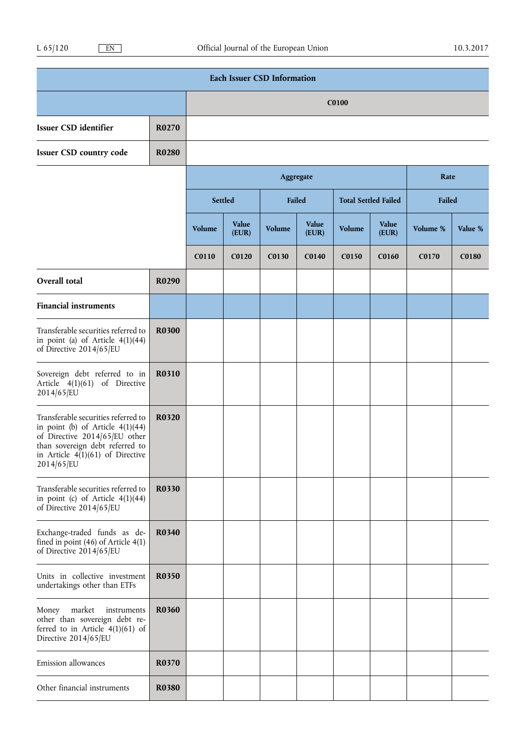| <b>Each Issuer CSD Information</b>                                                                                                                                                                |              |        |                |        |                |              |                             |          |         |
|---------------------------------------------------------------------------------------------------------------------------------------------------------------------------------------------------|--------------|--------|----------------|--------|----------------|--------------|-----------------------------|----------|---------|
|                                                                                                                                                                                                   |              |        |                |        |                | <b>C0100</b> |                             |          |         |
| Issuer CSD identifier                                                                                                                                                                             | R0270        |        |                |        |                |              |                             |          |         |
| <b>Issuer CSD country code</b>                                                                                                                                                                    | <b>R0280</b> |        |                |        |                |              |                             |          |         |
|                                                                                                                                                                                                   |              |        |                |        | Aggregate      |              |                             | Rate     |         |
|                                                                                                                                                                                                   |              |        | Settled        |        | Failed         |              | <b>Total Settled Failed</b> | Failed   |         |
|                                                                                                                                                                                                   |              | Volume | Value<br>(EUR) | Volume | Value<br>(EUR) | Volume       | Value<br>(EUR)              | Volume % | Value % |
|                                                                                                                                                                                                   |              | C0110  | C0120          | C0130  | C0140          | C0150        | C0160                       | C0170    | C0180   |
| Overall total                                                                                                                                                                                     | R0290        |        |                |        |                |              |                             |          |         |
| <b>Financial instruments</b>                                                                                                                                                                      |              |        |                |        |                |              |                             |          |         |
| Transferable securities referred to<br>in point (a) of Article $4(1)(44)$<br>of Directive 2014/65/EU                                                                                              | R0300        |        |                |        |                |              |                             |          |         |
| Sovereign debt referred to in<br>Article 4(1)(61) of Directive<br>2014/65/EU                                                                                                                      | R0310        |        |                |        |                |              |                             |          |         |
| Transferable securities referred to<br>in point (b) of Article $4(1)(44)$<br>of Directive 2014/65/EU other<br>than sovereign debt referred to<br>in Article $4(1)(61)$ of Directive<br>2014/65/EU | <b>R0320</b> |        |                |        |                |              |                             |          |         |
| Transferable securities referred to<br>in point (c) of Article $4(1)(44)$<br>of Directive 2014/65/EU                                                                                              | R0330        |        |                |        |                |              |                             |          |         |
| Exchange-traded funds as de-<br>fined in point $(46)$ of Article $4(1)$<br>of Directive 2014/65/EU                                                                                                | R0340        |        |                |        |                |              |                             |          |         |
| Units in collective investment<br>undertakings other than ETFs                                                                                                                                    | R0350        |        |                |        |                |              |                             |          |         |
| market<br>Money<br>instruments<br>other than sovereign debt re-<br>ferred to in Article $4(1)(61)$ of<br>Directive 2014/65/EU                                                                     | R0360        |        |                |        |                |              |                             |          |         |
| Emission allowances                                                                                                                                                                               | R0370        |        |                |        |                |              |                             |          |         |
| Other financial instruments                                                                                                                                                                       | <b>R0380</b> |        |                |        |                |              |                             |          |         |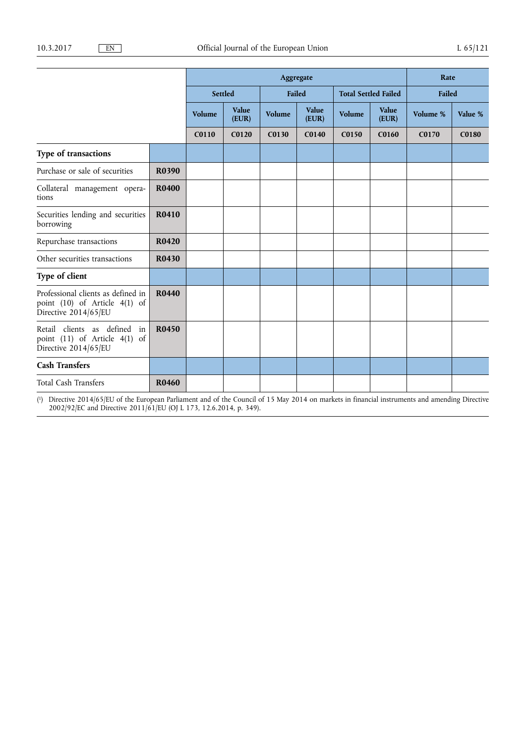|                                                                                             |              | Aggregate |                |        |                |                             |                | Rate     |              |
|---------------------------------------------------------------------------------------------|--------------|-----------|----------------|--------|----------------|-----------------------------|----------------|----------|--------------|
|                                                                                             |              | Settled   |                | Failed |                | <b>Total Settled Failed</b> |                | Failed   |              |
|                                                                                             |              | Volume    | Value<br>(EUR) | Volume | Value<br>(EUR) | Volume                      | Value<br>(EUR) | Volume % | Value %      |
|                                                                                             |              | C0110     | C0120          | C0130  | C0140          | C0150                       | <b>C0160</b>   | C0170    | <b>C0180</b> |
| Type of transactions                                                                        |              |           |                |        |                |                             |                |          |              |
| Purchase or sale of securities                                                              | R0390        |           |                |        |                |                             |                |          |              |
| Collateral management opera-<br>tions                                                       | <b>R0400</b> |           |                |        |                |                             |                |          |              |
| Securities lending and securities<br>borrowing                                              | R0410        |           |                |        |                |                             |                |          |              |
| Repurchase transactions                                                                     | <b>R0420</b> |           |                |        |                |                             |                |          |              |
| Other securities transactions                                                               | <b>R0430</b> |           |                |        |                |                             |                |          |              |
| Type of client                                                                              |              |           |                |        |                |                             |                |          |              |
| Professional clients as defined in<br>point (10) of Article 4(1) of<br>Directive 2014/65/EU | <b>R0440</b> |           |                |        |                |                             |                |          |              |
| Retail clients as defined<br>in<br>point (11) of Article 4(1) of<br>Directive 2014/65/EU    | R0450        |           |                |        |                |                             |                |          |              |
| <b>Cash Transfers</b>                                                                       |              |           |                |        |                |                             |                |          |              |
| Total Cash Transfers                                                                        | R0460        |           |                |        |                |                             |                |          |              |

( 1) Directive 2014/65/EU of the European Parliament and of the Council of 15 May 2014 on markets in financial instruments and amending Directive 2002/92/EC and Directive 2011/61/EU (OJ L 173, 12.6.2014, p. 349).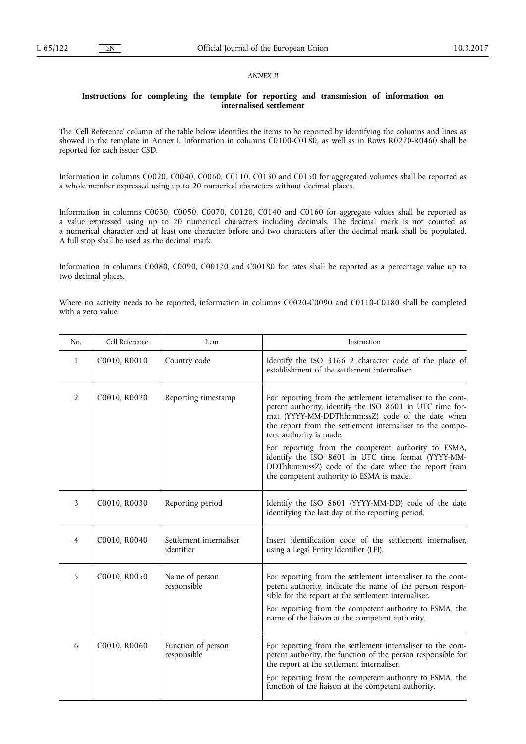#### *ANNEX II*

#### **Instructions for completing the template for reporting and transmission of information on internalised settlement**

The 'Cell Reference' column of the table below identifies the items to be reported by identifying the columns and lines as showed in the template in Annex I. Information in columns C0100-C0180, as well as in Rows R0270-R0460 shall be reported for each issuer CSD.

Information in columns C0020, C0040, C0060, C0110, C0130 and C0150 for aggregated volumes shall be reported as a whole number expressed using up to 20 numerical characters without decimal places.

Information in columns C0030, C0050, C0070, C0120, C0140 and C0160 for aggregate values shall be reported as a value expressed using up to 20 numerical characters including decimals. The decimal mark is not counted as a numerical character and at least one character before and two characters after the decimal mark shall be populated. A full stop shall be used as the decimal mark.

Information in columns C0080, C0090, C00170 and C00180 for rates shall be reported as a percentage value up to two decimal places.

Where no activity needs to be reported, information in columns C0020-C0090 and C0110-C0180 shall be completed with a zero value.

| No.            | Cell Reference | Item                                  | Instruction                                                                                                                                                                                                                                                                                   |
|----------------|----------------|---------------------------------------|-----------------------------------------------------------------------------------------------------------------------------------------------------------------------------------------------------------------------------------------------------------------------------------------------|
| 1              | C0010, R0010   | Country code                          | Identify the ISO 3166 2 character code of the place of<br>establishment of the settlement internaliser.                                                                                                                                                                                       |
| $\overline{2}$ | C0010, R0020   | Reporting timestamp                   | For reporting from the settlement internaliser to the com-<br>petent authority, identify the ISO 8601 in UTC time for-<br>mat (YYYY-MM-DDThh:mm:ssZ) code of the date when<br>the report from the settlement internaliser to the compe-<br>tent authority is made.                            |
|                |                |                                       | For reporting from the competent authority to ESMA,<br>identify the ISO 8601 in UTC time format (YYYY-MM-<br>DDThh:mm:ssZ) code of the date when the report from<br>the competent authority to ESMA is made.                                                                                  |
| 3              | C0010, R0030   | Reporting period                      | Identify the ISO 8601 (YYYY-MM-DD) code of the date<br>identifying the last day of the reporting period.                                                                                                                                                                                      |
| $\overline{4}$ | C0010, R0040   | Settlement internaliser<br>identifier | Insert identification code of the settlement internaliser,<br>using a Legal Entity Identifier (LEI).                                                                                                                                                                                          |
| 5              | C0010, R0050   | Name of person<br>responsible         | For reporting from the settlement internaliser to the com-<br>petent authority, indicate the name of the person respon-<br>sible for the report at the settlement internaliser.<br>For reporting from the competent authority to ESMA, the<br>name of the liaison at the competent authority. |
| 6              | C0010, R0060   | Function of person<br>responsible     | For reporting from the settlement internaliser to the com-<br>petent authority, the function of the person responsible for<br>the report at the settlement internaliser.<br>For reporting from the competent authority to ESMA, the<br>function of the liaison at the competent authority.    |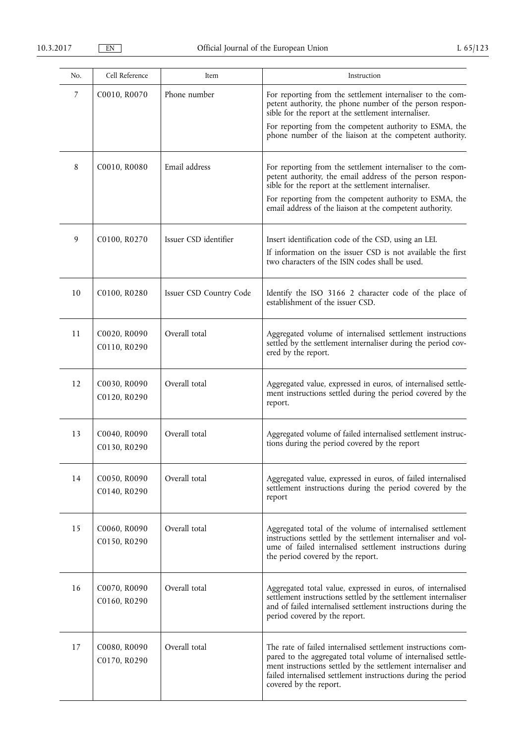| No. | Cell Reference               | Item                    | Instruction                                                                                                                                                                                                                                                                                            |
|-----|------------------------------|-------------------------|--------------------------------------------------------------------------------------------------------------------------------------------------------------------------------------------------------------------------------------------------------------------------------------------------------|
| 7   | C0010, R0070                 | Phone number            | For reporting from the settlement internaliser to the com-<br>petent authority, the phone number of the person respon-<br>sible for the report at the settlement internaliser.<br>For reporting from the competent authority to ESMA, the<br>phone number of the liaison at the competent authority.   |
| 8   | C0010, R0080                 | Email address           | For reporting from the settlement internaliser to the com-<br>petent authority, the email address of the person respon-<br>sible for the report at the settlement internaliser.<br>For reporting from the competent authority to ESMA, the<br>email address of the liaison at the competent authority. |
| 9   | C0100, R0270                 | Issuer CSD identifier   | Insert identification code of the CSD, using an LEI.<br>If information on the issuer CSD is not available the first<br>two characters of the ISIN codes shall be used.                                                                                                                                 |
| 10  | C0100, R0280                 | Issuer CSD Country Code | Identify the ISO 3166 2 character code of the place of<br>establishment of the issuer CSD.                                                                                                                                                                                                             |
| 11  | C0020, R0090<br>C0110, R0290 | Overall total           | Aggregated volume of internalised settlement instructions<br>settled by the settlement internaliser during the period cov-<br>ered by the report.                                                                                                                                                      |
| 12  | C0030, R0090<br>C0120, R0290 | Overall total           | Aggregated value, expressed in euros, of internalised settle-<br>ment instructions settled during the period covered by the<br>report.                                                                                                                                                                 |
| 13  | C0040, R0090<br>C0130, R0290 | Overall total           | Aggregated volume of failed internalised settlement instruc-<br>tions during the period covered by the report                                                                                                                                                                                          |
| 14  | C0050, R0090<br>C0140, R0290 | Overall total           | Aggregated value, expressed in euros, of failed internalised<br>settlement instructions during the period covered by the<br>report                                                                                                                                                                     |
| 15  | C0060, R0090<br>C0150, R0290 | Overall total           | Aggregated total of the volume of internalised settlement<br>instructions settled by the settlement internaliser and vol-<br>ume of failed internalised settlement instructions during<br>the period covered by the report.                                                                            |
| 16  | C0070, R0090<br>C0160, R0290 | Overall total           | Aggregated total value, expressed in euros, of internalised<br>settlement instructions settled by the settlement internaliser<br>and of failed internalised settlement instructions during the<br>period covered by the report.                                                                        |
| 17  | C0080, R0090<br>C0170, R0290 | Overall total           | The rate of failed internalised settlement instructions com-<br>pared to the aggregated total volume of internalised settle-<br>ment instructions settled by the settlement internaliser and<br>failed internalised settlement instructions during the period<br>covered by the report.                |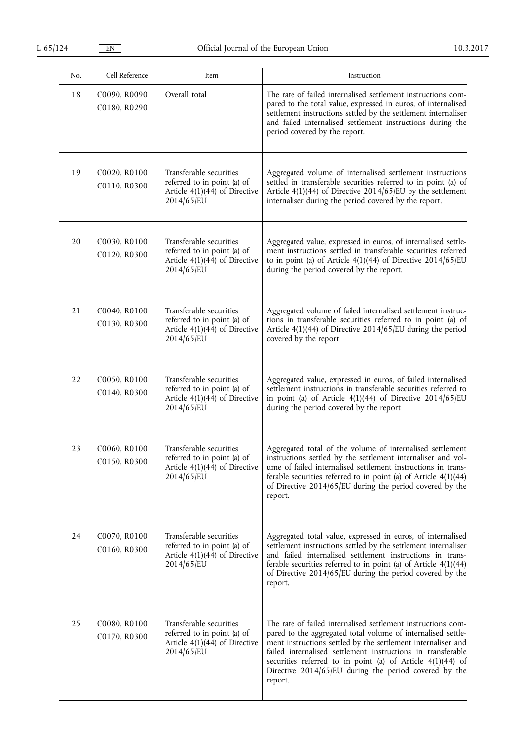| No. | Cell Reference               | Item                                                                                                       | Instruction                                                                                                                                                                                                                                                                                                                                                                                      |
|-----|------------------------------|------------------------------------------------------------------------------------------------------------|--------------------------------------------------------------------------------------------------------------------------------------------------------------------------------------------------------------------------------------------------------------------------------------------------------------------------------------------------------------------------------------------------|
| 18  | C0090, R0090<br>C0180, R0290 | Overall total                                                                                              | The rate of failed internalised settlement instructions com-<br>pared to the total value, expressed in euros, of internalised<br>settlement instructions settled by the settlement internaliser<br>and failed internalised settlement instructions during the<br>period covered by the report.                                                                                                   |
| 19  | C0020, R0100<br>C0110, R0300 | Transferable securities<br>referred to in point (a) of<br>Article $4(1)(44)$ of Directive<br>2014/65/EU    | Aggregated volume of internalised settlement instructions<br>settled in transferable securities referred to in point (a) of<br>Article $4(1)(44)$ of Directive 2014/65/EU by the settlement<br>internaliser during the period covered by the report.                                                                                                                                             |
| 20  | C0030, R0100<br>C0120, R0300 | Transferable securities<br>referred to in point (a) of<br>Article $4(1)(44)$ of Directive<br>2014/65/EU    | Aggregated value, expressed in euros, of internalised settle-<br>ment instructions settled in transferable securities referred<br>to in point (a) of Article $4(1)(44)$ of Directive 2014/65/EU<br>during the period covered by the report.                                                                                                                                                      |
| 21  | C0040, R0100<br>C0130, R0300 | Transferable securities<br>referred to in point (a) of<br>Article $4(1)(44)$ of Directive<br>2014/65/EU    | Aggregated volume of failed internalised settlement instruc-<br>tions in transferable securities referred to in point (a) of<br>Article $4(1)(44)$ of Directive 2014/65/EU during the period<br>covered by the report                                                                                                                                                                            |
| 22  | C0050, R0100<br>C0140, R0300 | Transferable securities<br>referred to in point (a) of<br>Article $4(1)(44)$ of Directive<br>2014/65/EU    | Aggregated value, expressed in euros, of failed internalised<br>settlement instructions in transferable securities referred to<br>in point (a) of Article $4(1)(44)$ of Directive 2014/65/EU<br>during the period covered by the report                                                                                                                                                          |
| 23  | C0060, R0100<br>C0150, R0300 | Transferable securities<br>referred to in point (a) of<br>Article $4(1)(44)$ of Directive<br>2014/65/EU    | Aggregated total of the volume of internalised settlement<br>instructions settled by the settlement internaliser and vol-<br>ume of failed internalised settlement instructions in trans-<br>ferable securities referred to in point (a) of Article $4(1)(44)$<br>of Directive $2014/65$ /EU during the period covered by the<br>report.                                                         |
| 24  | C0070, R0100<br>C0160, R0300 | Transferable securities<br>referred to in point (a) of<br>Article $4(1)(44)$ of Directive<br>2014/65/EU    | Aggregated total value, expressed in euros, of internalised<br>settlement instructions settled by the settlement internaliser<br>and failed internalised settlement instructions in trans-<br>ferable securities referred to in point (a) of Article $4(1)(44)$<br>of Directive 2014/65/EU during the period covered by the<br>report.                                                           |
| 25  | C0080, R0100<br>C0170, R0300 | Transferable securities<br>referred to in point (a) of<br>Article $4(1)(44)$ of Directive<br>$2014/65$ /EU | The rate of failed internalised settlement instructions com-<br>pared to the aggregated total volume of internalised settle-<br>ment instructions settled by the settlement internaliser and<br>failed internalised settlement instructions in transferable<br>securities referred to in point (a) of Article 4(1)(44) of<br>Directive $2014/65$ /EU during the period covered by the<br>report. |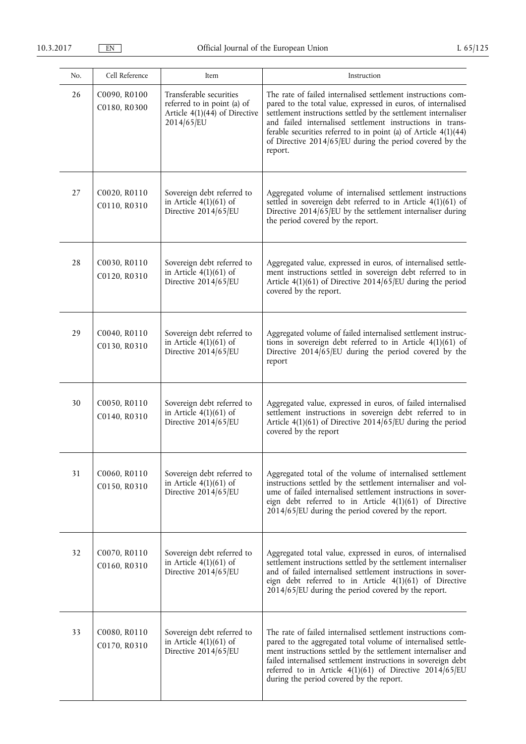| No. | Cell Reference               | Item                                                                                                    | Instruction                                                                                                                                                                                                                                                                                                                                                                                              |
|-----|------------------------------|---------------------------------------------------------------------------------------------------------|----------------------------------------------------------------------------------------------------------------------------------------------------------------------------------------------------------------------------------------------------------------------------------------------------------------------------------------------------------------------------------------------------------|
| 26  | C0090, R0100<br>C0180, R0300 | Transferable securities<br>referred to in point (a) of<br>Article $4(1)(44)$ of Directive<br>2014/65/EU | The rate of failed internalised settlement instructions com-<br>pared to the total value, expressed in euros, of internalised<br>settlement instructions settled by the settlement internaliser<br>and failed internalised settlement instructions in trans-<br>ferable securities referred to in point (a) of Article $4(1)(44)$<br>of Directive 2014/65/EU during the period covered by the<br>report. |
| 27  | C0020, R0110<br>C0110, R0310 | Sovereign debt referred to<br>in Article $4(1)(61)$ of<br>Directive 2014/65/EU                          | Aggregated volume of internalised settlement instructions<br>settled in sovereign debt referred to in Article 4(1)(61) of<br>Directive $2014/65$ /EU by the settlement internaliser during<br>the period covered by the report.                                                                                                                                                                          |
| 28  | C0030, R0110<br>C0120, R0310 | Sovereign debt referred to<br>in Article $4(1)(61)$ of<br>Directive 2014/65/EU                          | Aggregated value, expressed in euros, of internalised settle-<br>ment instructions settled in sovereign debt referred to in<br>Article 4(1)(61) of Directive 2014/65/EU during the period<br>covered by the report.                                                                                                                                                                                      |
| 29  | C0040, R0110<br>C0130, R0310 | Sovereign debt referred to<br>in Article $4(1)(61)$ of<br>Directive 2014/65/EU                          | Aggregated volume of failed internalised settlement instruc-<br>tions in sovereign debt referred to in Article $4(1)(61)$ of<br>Directive $2014\sqrt{65/EU}$ during the period covered by the<br>report                                                                                                                                                                                                  |
| 30  | C0050, R0110<br>C0140, R0310 | Sovereign debt referred to<br>in Article $4(1)(61)$ of<br>Directive 2014/65/EU                          | Aggregated value, expressed in euros, of failed internalised<br>settlement instructions in sovereign debt referred to in<br>Article 4(1)(61) of Directive 2014/65/EU during the period<br>covered by the report                                                                                                                                                                                          |
| 31  | C0060, R0110<br>C0150, R0310 | Sovereign debt referred to<br>in Article $4(1)(61)$ of<br>Directive 2014/65/EU                          | Aggregated total of the volume of internalised settlement<br>instructions settled by the settlement internaliser and vol-<br>ume of failed internalised settlement instructions in sover-<br>eign debt referred to in Article 4(1)(61) of Directive<br>$2014/65$ /EU during the period covered by the report.                                                                                            |
| 32  | C0070, R0110<br>C0160, R0310 | Sovereign debt referred to<br>in Article $4(1)(61)$ of<br>Directive 2014/65/EU                          | Aggregated total value, expressed in euros, of internalised<br>settlement instructions settled by the settlement internaliser<br>and of failed internalised settlement instructions in sover-<br>eign debt referred to in Article 4(1)(61) of Directive<br>$2014/65$ /EU during the period covered by the report.                                                                                        |
| 33  | C0080, R0110<br>C0170, R0310 | Sovereign debt referred to<br>in Article $4(1)(61)$ of<br>Directive 2014/65/EU                          | The rate of failed internalised settlement instructions com-<br>pared to the aggregated total volume of internalised settle-<br>ment instructions settled by the settlement internaliser and<br>failed internalised settlement instructions in sovereign debt<br>referred to in Article $4(1)(61)$ of Directive 2014/65/EU<br>during the period covered by the report.                                   |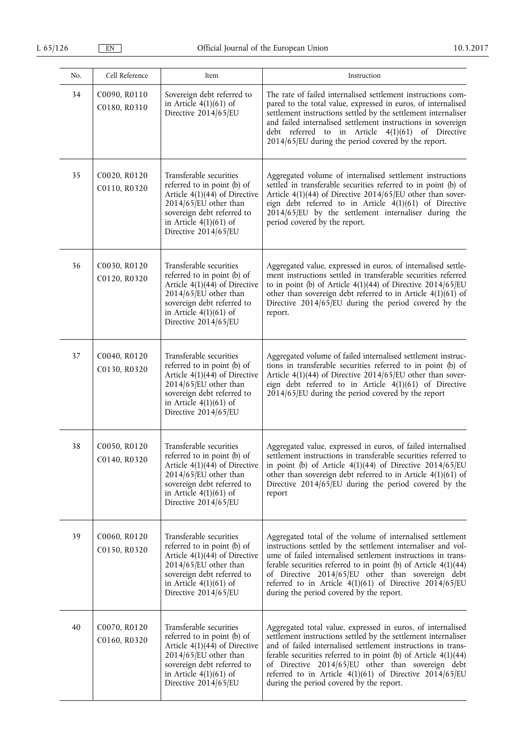| No. | Cell Reference               | Item                                                                                                                                                                                                    | Instruction                                                                                                                                                                                                                                                                                                                                                                                                                      |
|-----|------------------------------|---------------------------------------------------------------------------------------------------------------------------------------------------------------------------------------------------------|----------------------------------------------------------------------------------------------------------------------------------------------------------------------------------------------------------------------------------------------------------------------------------------------------------------------------------------------------------------------------------------------------------------------------------|
| 34  | C0090, R0110<br>C0180, R0310 | Sovereign debt referred to<br>in Article $4(1)(61)$ of<br>Directive 2014/65/EU                                                                                                                          | The rate of failed internalised settlement instructions com-<br>pared to the total value, expressed in euros, of internalised<br>settlement instructions settled by the settlement internaliser<br>and failed internalised settlement instructions in sovereign<br>debt referred to in Article 4(1)(61) of Directive<br>$2014/65$ /EU during the period covered by the report.                                                   |
| 35  | C0020, R0120<br>C0110, R0320 | Transferable securities<br>referred to in point (b) of<br>Article $4(1)(44)$ of Directive<br>2014/65/EU other than<br>sovereign debt referred to<br>in Article $4(1)(61)$ of<br>Directive 2014/65/EU    | Aggregated volume of internalised settlement instructions<br>settled in transferable securities referred to in point (b) of<br>Article 4(1)(44) of Directive 2014/65/EU other than sover-<br>eign debt referred to in Article 4(1)(61) of Directive<br>2014/65/EU by the settlement internaliser during the<br>period covered by the report.                                                                                     |
| 36  | C0030, R0120<br>C0120, R0320 | Transferable securities<br>referred to in point (b) of<br>Article $4(1)(44)$ of Directive<br>2014/65/EU other than<br>sovereign debt referred to<br>in Article $4(1)(61)$ of<br>Directive 2014/65/EU    | Aggregated value, expressed in euros, of internalised settle-<br>ment instructions settled in transferable securities referred<br>to in point (b) of Article $4(1)(44)$ of Directive 2014/65/EU<br>other than sovereign debt referred to in Article $4(1)(61)$ of<br>Directive 2014/65/EU during the period covered by the<br>report.                                                                                            |
| 37  | C0040, R0120<br>C0130, R0320 | Transferable securities<br>referred to in point (b) of<br>Article $4(1)(44)$ of Directive<br>2014/65/EU other than<br>sovereign debt referred to<br>in Article $4(1)(61)$ of<br>Directive 2014/65/EU    | Aggregated volume of failed internalised settlement instruc-<br>tions in transferable securities referred to in point (b) of<br>Article 4(1)(44) of Directive 2014/65/EU other than sover-<br>eign debt referred to in Article 4(1)(61) of Directive<br>$2014/65$ /EU during the period covered by the report                                                                                                                    |
| 38  | C0050, R0120<br>C0140, R0320 | Transferable securities<br>referred to in point (b) of<br>Article $4(1)(44)$ of Directive<br>$2014/65$ /EU other than<br>sovereign debt referred to<br>in Article $4(1)(61)$ of<br>Directive 2014/65/EU | Aggregated value, expressed in euros, of failed internalised<br>settlement instructions in transferable securities referred to<br>in point (b) of Article $4(1)(44)$ of Directive 2014/65/EU<br>other than sovereign debt referred to in Article $4(1)(61)$ of<br>Directive $2014/65$ /EU during the period covered by the<br>report                                                                                             |
| 39  | C0060, R0120<br>C0150, R0320 | Transferable securities<br>referred to in point (b) of<br>Article $4(1)(44)$ of Directive<br>$2014/65$ /EU other than<br>sovereign debt referred to<br>in Article $4(1)(61)$ of<br>Directive 2014/65/EU | Aggregated total of the volume of internalised settlement<br>instructions settled by the settlement internaliser and vol-<br>ume of failed internalised settlement instructions in trans-<br>ferable securities referred to in point (b) of Article $4(1)(44)$<br>of Directive 2014/65/EU other than sovereign debt<br>referred to in Article $4(1)(61)$ of Directive 2014/65/EU<br>during the period covered by the report.     |
| 40  | C0070, R0120<br>C0160, R0320 | Transferable securities<br>referred to in point (b) of<br>Article $4(1)(44)$ of Directive<br>$2014/65$ /EU other than<br>sovereign debt referred to<br>in Article $4(1)(61)$ of<br>Directive 2014/65/EU | Aggregated total value, expressed in euros, of internalised<br>settlement instructions settled by the settlement internaliser<br>and of failed internalised settlement instructions in trans-<br>ferable securities referred to in point (b) of Article $4(1)(44)$<br>of Directive 2014/65/EU other than sovereign debt<br>referred to in Article $4(1)(61)$ of Directive 2014/65/EU<br>during the period covered by the report. |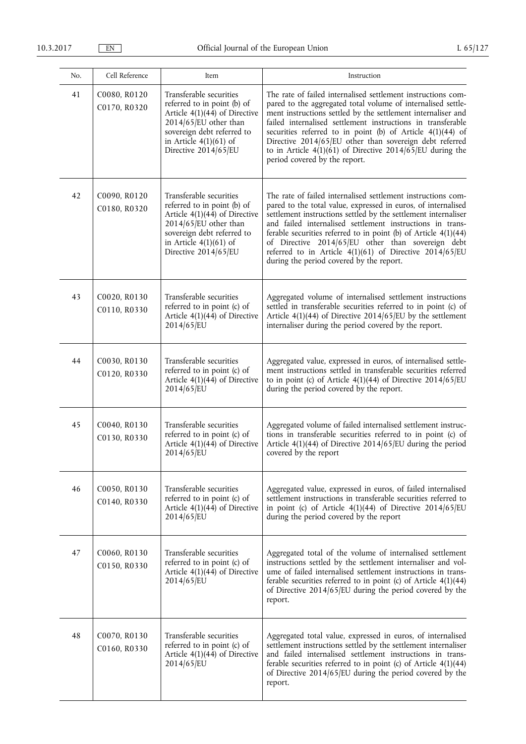| No. | Cell Reference               | Item                                                                                                                                                                                                    | Instruction                                                                                                                                                                                                                                                                                                                                                                                                                                                                                     |
|-----|------------------------------|---------------------------------------------------------------------------------------------------------------------------------------------------------------------------------------------------------|-------------------------------------------------------------------------------------------------------------------------------------------------------------------------------------------------------------------------------------------------------------------------------------------------------------------------------------------------------------------------------------------------------------------------------------------------------------------------------------------------|
| 41  | C0080, R0120<br>C0170, R0320 | Transferable securities<br>referred to in point (b) of<br>Article $4(1)(44)$ of Directive<br>2014/65/EU other than<br>sovereign debt referred to<br>in Article $4(1)(61)$ of<br>Directive 2014/65/EU    | The rate of failed internalised settlement instructions com-<br>pared to the aggregated total volume of internalised settle-<br>ment instructions settled by the settlement internaliser and<br>failed internalised settlement instructions in transferable<br>securities referred to in point (b) of Article $4(1)(44)$ of<br>Directive 2014/65/EU other than sovereign debt referred<br>to in Article $4(1)(61)$ of Directive 2014/65/EU during the<br>period covered by the report.          |
| 42  | C0090, R0120<br>C0180, R0320 | Transferable securities<br>referred to in point (b) of<br>Article $4(1)(44)$ of Directive<br>$2014/65$ /EU other than<br>sovereign debt referred to<br>in Article $4(1)(61)$ of<br>Directive 2014/65/EU | The rate of failed internalised settlement instructions com-<br>pared to the total value, expressed in euros, of internalised<br>settlement instructions settled by the settlement internaliser<br>and failed internalised settlement instructions in trans-<br>ferable securities referred to in point (b) of Article $4(1)(44)$<br>of Directive 2014/65/EU other than sovereign debt<br>referred to in Article $4(1)(61)$ of Directive 2014/65/EU<br>during the period covered by the report. |
| 43  | C0020, R0130<br>C0110, R0330 | Transferable securities<br>referred to in point (c) of<br>Article $4(1)(44)$ of Directive<br>2014/65/EU                                                                                                 | Aggregated volume of internalised settlement instructions<br>settled in transferable securities referred to in point (c) of<br>Article $4(1)(44)$ of Directive 2014/65/EU by the settlement<br>internaliser during the period covered by the report.                                                                                                                                                                                                                                            |
| 44  | C0030, R0130<br>C0120, R0330 | Transferable securities<br>referred to in point (c) of<br>Article $4(1)(44)$ of Directive<br>2014/65/EU                                                                                                 | Aggregated value, expressed in euros, of internalised settle-<br>ment instructions settled in transferable securities referred<br>to in point (c) of Article $4(1)(44)$ of Directive 2014/65/EU<br>during the period covered by the report.                                                                                                                                                                                                                                                     |
| 45  | C0040, R0130<br>C0130, R0330 | Transferable securities<br>referred to in point (c) of<br>Article $4(1)(4\overline{4})$ of Directive<br>2014/65/EU                                                                                      | Aggregated volume of failed internalised settlement instruc-<br>tions in transferable securities referred to in point (c) of<br>Article $4(1)(44)$ of Directive 2014/65/EU during the period<br>covered by the report                                                                                                                                                                                                                                                                           |
| 46  | C0050, R0130<br>C0140, R0330 | Transferable securities<br>referred to in point (c) of<br>Article $4(1)(44)$ of Directive<br>2014/65/EU                                                                                                 | Aggregated value, expressed in euros, of failed internalised<br>settlement instructions in transferable securities referred to<br>in point (c) of Article $4(1)(44)$ of Directive 2014/65/EU<br>during the period covered by the report                                                                                                                                                                                                                                                         |
| 47  | C0060, R0130<br>C0150, R0330 | Transferable securities<br>referred to in point (c) of<br>Article $4(1)(44)$ of Directive<br>2014/65/EU                                                                                                 | Aggregated total of the volume of internalised settlement<br>instructions settled by the settlement internaliser and vol-<br>ume of failed internalised settlement instructions in trans-<br>ferable securities referred to in point (c) of Article $4(1)(44)$<br>of Directive 2014/65/EU during the period covered by the<br>report.                                                                                                                                                           |
| 48  | C0070, R0130<br>C0160, R0330 | Transferable securities<br>referred to in point (c) of<br>Article $4(1)(44)$ of Directive<br>2014/65/EU                                                                                                 | Aggregated total value, expressed in euros, of internalised<br>settlement instructions settled by the settlement internaliser<br>and failed internalised settlement instructions in trans-<br>ferable securities referred to in point (c) of Article $4(1)(44)$<br>of Directive 2014/65/EU during the period covered by the<br>report.                                                                                                                                                          |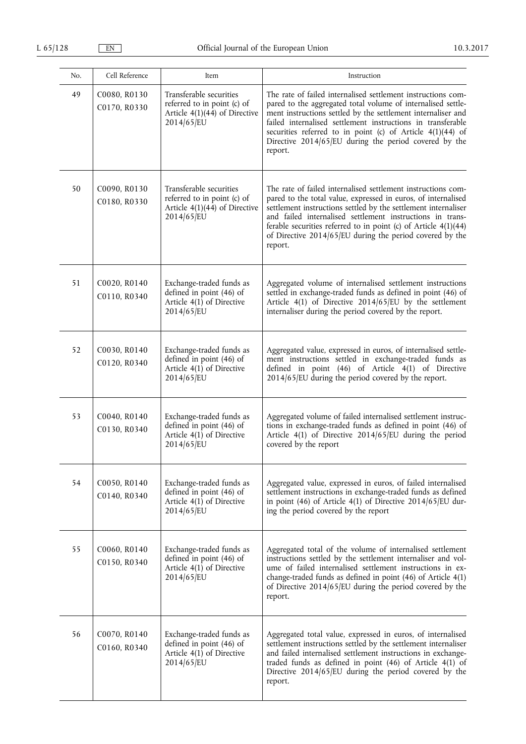| No. | Cell Reference               | Item                                                                                                    | Instruction                                                                                                                                                                                                                                                                                                                                                                                              |
|-----|------------------------------|---------------------------------------------------------------------------------------------------------|----------------------------------------------------------------------------------------------------------------------------------------------------------------------------------------------------------------------------------------------------------------------------------------------------------------------------------------------------------------------------------------------------------|
| 49  | C0080, R0130<br>C0170, R0330 | Transferable securities<br>referred to in point (c) of<br>Article $4(1)(44)$ of Directive<br>2014/65/EU | The rate of failed internalised settlement instructions com-<br>pared to the aggregated total volume of internalised settle-<br>ment instructions settled by the settlement internaliser and<br>failed internalised settlement instructions in transferable<br>securities referred to in point (c) of Article 4(1)(44) of<br>Directive 2014/65/EU during the period covered by the<br>report.            |
| 50  | C0090, R0130<br>C0180, R0330 | Transferable securities<br>referred to in point (c) of<br>Article $4(1)(44)$ of Directive<br>2014/65/EU | The rate of failed internalised settlement instructions com-<br>pared to the total value, expressed in euros, of internalised<br>settlement instructions settled by the settlement internaliser<br>and failed internalised settlement instructions in trans-<br>ferable securities referred to in point (c) of Article $4(1)(44)$<br>of Directive 2014/65/EU during the period covered by the<br>report. |
| 51  | C0020, R0140<br>C0110, R0340 | Exchange-traded funds as<br>defined in point (46) of<br>Article $4(1)$ of Directive<br>2014/65/EU       | Aggregated volume of internalised settlement instructions<br>settled in exchange-traded funds as defined in point (46) of<br>Article 4(1) of Directive 2014/65/EU by the settlement<br>internaliser during the period covered by the report.                                                                                                                                                             |
| 52  | C0030, R0140<br>C0120, R0340 | Exchange-traded funds as<br>defined in point (46) of<br>Article $4(1)$ of Directive<br>2014/65/EU       | Aggregated value, expressed in euros, of internalised settle-<br>ment instructions settled in exchange-traded funds as<br>defined in point (46) of Article 4(1) of Directive<br>2014/65/EU during the period covered by the report.                                                                                                                                                                      |
| 53  | C0040, R0140<br>C0130, R0340 | Exchange-traded funds as<br>defined in point (46) of<br>Article $4(1)$ of Directive<br>2014/65/EU       | Aggregated volume of failed internalised settlement instruc-<br>tions in exchange-traded funds as defined in point (46) of<br>Article 4(1) of Directive 2014/65/EU during the period<br>covered by the report                                                                                                                                                                                            |
| 54  | C0050, R0140<br>C0140, R0340 | Exchange-traded funds as<br>defined in point (46) of<br>Article $4(1)$ of Directive<br>2014/65/EU       | Aggregated value, expressed in euros, of failed internalised<br>settlement instructions in exchange-traded funds as defined<br>in point (46) of Article 4(1) of Directive $2014/65$ /EU dur-<br>ing the period covered by the report                                                                                                                                                                     |
| 55  | C0060, R0140<br>C0150, R0340 | Exchange-traded funds as<br>defined in point (46) of<br>Article $4(1)$ of Directive<br>2014/65/EU       | Aggregated total of the volume of internalised settlement<br>instructions settled by the settlement internaliser and vol-<br>ume of failed internalised settlement instructions in ex-<br>change-traded funds as defined in point (46) of Article 4(1)<br>of Directive 2014/65/EU during the period covered by the<br>report.                                                                            |
| 56  | C0070, R0140<br>C0160, R0340 | Exchange-traded funds as<br>defined in point (46) of<br>Article $4(1)$ of Directive<br>2014/65/EU       | Aggregated total value, expressed in euros, of internalised<br>settlement instructions settled by the settlement internaliser<br>and failed internalised settlement instructions in exchange-<br>traded funds as defined in point (46) of Article 4(1) of<br>Directive 2014/65/EU during the period covered by the<br>report.                                                                            |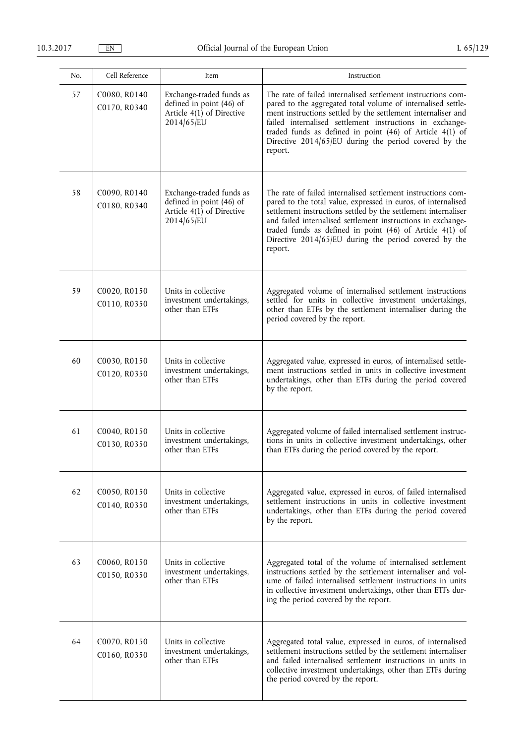| No. | Cell Reference               | Item                                                                                              | Instruction                                                                                                                                                                                                                                                                                                                                                                                         |
|-----|------------------------------|---------------------------------------------------------------------------------------------------|-----------------------------------------------------------------------------------------------------------------------------------------------------------------------------------------------------------------------------------------------------------------------------------------------------------------------------------------------------------------------------------------------------|
| 57  | C0080, R0140<br>C0170, R0340 | Exchange-traded funds as<br>defined in point (46) of<br>Article $4(1)$ of Directive<br>2014/65/EU | The rate of failed internalised settlement instructions com-<br>pared to the aggregated total volume of internalised settle-<br>ment instructions settled by the settlement internaliser and<br>failed internalised settlement instructions in exchange-<br>traded funds as defined in point (46) of Article 4(1) of<br>Directive 2014/65/EU during the period covered by the<br>report.            |
| 58  | C0090, R0140<br>C0180, R0340 | Exchange-traded funds as<br>defined in point (46) of<br>Article $4(1)$ of Directive<br>2014/65/EU | The rate of failed internalised settlement instructions com-<br>pared to the total value, expressed in euros, of internalised<br>settlement instructions settled by the settlement internaliser<br>and failed internalised settlement instructions in exchange-<br>traded funds as defined in point $(46)$ of Article $4(1)$ of<br>Directive 2014/65/EU during the period covered by the<br>report. |
| 59  | C0020, R0150<br>C0110, R0350 | Units in collective<br>investment undertakings,<br>other than ETFs                                | Aggregated volume of internalised settlement instructions<br>settled for units in collective investment undertakings,<br>other than ETFs by the settlement internaliser during the<br>period covered by the report.                                                                                                                                                                                 |
| 60  | C0030, R0150<br>C0120, R0350 | Units in collective<br>investment undertakings,<br>other than ETFs                                | Aggregated value, expressed in euros, of internalised settle-<br>ment instructions settled in units in collective investment<br>undertakings, other than ETFs during the period covered<br>by the report.                                                                                                                                                                                           |
| 61  | C0040, R0150<br>C0130, R0350 | Units in collective<br>investment undertakings,<br>other than ETFs                                | Aggregated volume of failed internalised settlement instruc-<br>tions in units in collective investment undertakings, other<br>than ETFs during the period covered by the report.                                                                                                                                                                                                                   |
| 62  | C0050, R0150<br>C0140, R0350 | Units in collective<br>investment undertakings,<br>other than ETFs                                | Aggregated value, expressed in euros, of failed internalised<br>settlement instructions in units in collective investment<br>undertakings, other than ETFs during the period covered<br>by the report.                                                                                                                                                                                              |
| 63  | C0060, R0150<br>C0150, R0350 | Units in collective<br>investment undertakings,<br>other than ETFs                                | Aggregated total of the volume of internalised settlement<br>instructions settled by the settlement internaliser and vol-<br>ume of failed internalised settlement instructions in units<br>in collective investment undertakings, other than ETFs dur-<br>ing the period covered by the report.                                                                                                    |
| 64  | C0070, R0150<br>C0160, R0350 | Units in collective<br>investment undertakings,<br>other than ETFs                                | Aggregated total value, expressed in euros, of internalised<br>settlement instructions settled by the settlement internaliser<br>and failed internalised settlement instructions in units in<br>collective investment undertakings, other than ETFs during<br>the period covered by the report.                                                                                                     |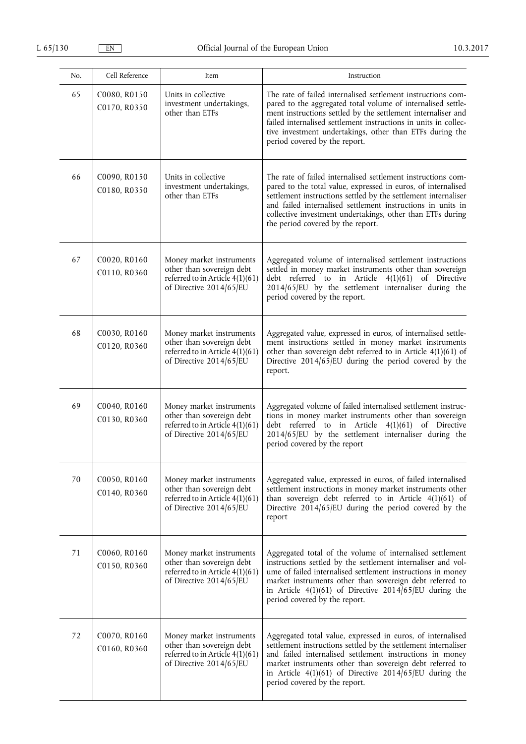| No. | Cell Reference               | Item                                                                                                                | Instruction                                                                                                                                                                                                                                                                                                                                                       |
|-----|------------------------------|---------------------------------------------------------------------------------------------------------------------|-------------------------------------------------------------------------------------------------------------------------------------------------------------------------------------------------------------------------------------------------------------------------------------------------------------------------------------------------------------------|
| 65  | C0080, R0150<br>C0170, R0350 | Units in collective<br>investment undertakings,<br>other than ETFs                                                  | The rate of failed internalised settlement instructions com-<br>pared to the aggregated total volume of internalised settle-<br>ment instructions settled by the settlement internaliser and<br>failed internalised settlement instructions in units in collec-<br>tive investment undertakings, other than ETFs during the<br>period covered by the report.      |
| 66  | C0090, R0150<br>C0180, R0350 | Units in collective<br>investment undertakings,<br>other than ETFs                                                  | The rate of failed internalised settlement instructions com-<br>pared to the total value, expressed in euros, of internalised<br>settlement instructions settled by the settlement internaliser<br>and failed internalised settlement instructions in units in<br>collective investment undertakings, other than ETFs during<br>the period covered by the report. |
| 67  | C0020, R0160<br>C0110, R0360 | Money market instruments<br>other than sovereign debt<br>referred to in Article 4(1)(61)<br>of Directive 2014/65/EU | Aggregated volume of internalised settlement instructions<br>settled in money market instruments other than sovereign<br>debt referred to in Article<br>$4(1)(61)$ of Directive<br>2014/65/EU by the settlement internaliser during the<br>period covered by the report.                                                                                          |
| 68  | C0030, R0160<br>C0120, R0360 | Money market instruments<br>other than sovereign debt<br>referred to in Article 4(1)(61)<br>of Directive 2014/65/EU | Aggregated value, expressed in euros, of internalised settle-<br>ment instructions settled in money market instruments<br>other than sovereign debt referred to in Article 4(1)(61) of<br>Directive $2014/65$ /EU during the period covered by the<br>report.                                                                                                     |
| 69  | C0040, R0160<br>C0130, R0360 | Money market instruments<br>other than sovereign debt<br>referred to in Article 4(1)(61)<br>of Directive 2014/65/EU | Aggregated volume of failed internalised settlement instruc-<br>tions in money market instruments other than sovereign<br>debt referred to in Article 4(1)(61) of Directive<br>2014/65/EU by the settlement internaliser during the<br>period covered by the report                                                                                               |
| 70  | C0050, R0160<br>C0140, R0360 | Money market instruments<br>other than sovereign debt<br>referred to in Article 4(1)(61)<br>of Directive 2014/65/EU | Aggregated value, expressed in euros, of failed internalised<br>settlement instructions in money market instruments other<br>than sovereign debt referred to in Article $4(1)(61)$ of<br>Directive $2014/65/EU$ during the period covered by the<br>report                                                                                                        |
| 71  | C0060, R0160<br>C0150, R0360 | Money market instruments<br>other than sovereign debt<br>referred to in Article 4(1)(61)<br>of Directive 2014/65/EU | Aggregated total of the volume of internalised settlement<br>instructions settled by the settlement internaliser and vol-<br>ume of failed internalised settlement instructions in money<br>market instruments other than sovereign debt referred to<br>in Article $4(1)(61)$ of Directive 2014/65/EU during the<br>period covered by the report.                 |
| 72  | C0070, R0160<br>C0160, R0360 | Money market instruments<br>other than sovereign debt<br>referred to in Article 4(1)(61)<br>of Directive 2014/65/EU | Aggregated total value, expressed in euros, of internalised<br>settlement instructions settled by the settlement internaliser<br>and failed internalised settlement instructions in money<br>market instruments other than sovereign debt referred to<br>in Article 4(1)(61) of Directive $2014/65$ /EU during the<br>period covered by the report.               |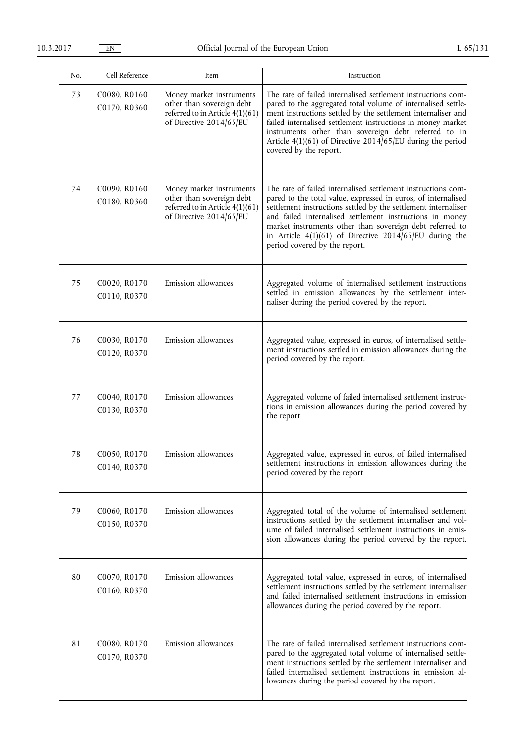| No. | Cell Reference               | Item                                                                                                                  | Instruction                                                                                                                                                                                                                                                                                                                                                                                                           |
|-----|------------------------------|-----------------------------------------------------------------------------------------------------------------------|-----------------------------------------------------------------------------------------------------------------------------------------------------------------------------------------------------------------------------------------------------------------------------------------------------------------------------------------------------------------------------------------------------------------------|
| 73  | C0080, R0160<br>C0170, R0360 | Money market instruments<br>other than sovereign debt<br>referred to in Article $4(1)(61)$<br>of Directive 2014/65/EU | The rate of failed internalised settlement instructions com-<br>pared to the aggregated total volume of internalised settle-<br>ment instructions settled by the settlement internaliser and<br>failed internalised settlement instructions in money market<br>instruments other than sovereign debt referred to in<br>Article 4(1)(61) of Directive 2014/65/EU during the period<br>covered by the report.           |
| 74  | C0090, R0160<br>C0180, R0360 | Money market instruments<br>other than sovereign debt<br>referred to in Article 4(1)(61)<br>of Directive 2014/65/EU   | The rate of failed internalised settlement instructions com-<br>pared to the total value, expressed in euros, of internalised<br>settlement instructions settled by the settlement internaliser<br>and failed internalised settlement instructions in money<br>market instruments other than sovereign debt referred to<br>in Article 4(1)(61) of Directive $2014/65$ /EU during the<br>period covered by the report. |
| 75  | C0020, R0170<br>C0110, R0370 | Emission allowances                                                                                                   | Aggregated volume of internalised settlement instructions<br>settled in emission allowances by the settlement inter-<br>naliser during the period covered by the report.                                                                                                                                                                                                                                              |
| 76  | C0030, R0170<br>C0120, R0370 | Emission allowances                                                                                                   | Aggregated value, expressed in euros, of internalised settle-<br>ment instructions settled in emission allowances during the<br>period covered by the report.                                                                                                                                                                                                                                                         |
| 77  | C0040, R0170<br>C0130, R0370 | Emission allowances                                                                                                   | Aggregated volume of failed internalised settlement instruc-<br>tions in emission allowances during the period covered by<br>the report                                                                                                                                                                                                                                                                               |
| 78  | C0050, R0170<br>C0140, R0370 | Emission allowances                                                                                                   | Aggregated value, expressed in euros, of failed internalised<br>settlement instructions in emission allowances during the<br>period covered by the report                                                                                                                                                                                                                                                             |
| 79  | C0060, R0170<br>C0150, R0370 | Emission allowances                                                                                                   | Aggregated total of the volume of internalised settlement<br>instructions settled by the settlement internaliser and vol-<br>ume of failed internalised settlement instructions in emis-<br>sion allowances during the period covered by the report.                                                                                                                                                                  |
| 80  | C0070, R0170<br>C0160, R0370 | Emission allowances                                                                                                   | Aggregated total value, expressed in euros, of internalised<br>settlement instructions settled by the settlement internaliser<br>and failed internalised settlement instructions in emission<br>allowances during the period covered by the report.                                                                                                                                                                   |
| 81  | C0080, R0170<br>C0170, R0370 | Emission allowances                                                                                                   | The rate of failed internalised settlement instructions com-<br>pared to the aggregated total volume of internalised settle-<br>ment instructions settled by the settlement internaliser and<br>failed internalised settlement instructions in emission al-<br>lowances during the period covered by the report.                                                                                                      |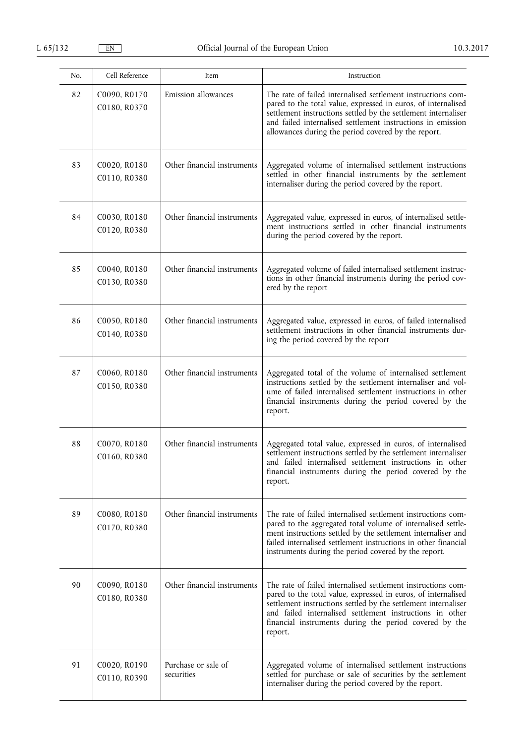| No. | Cell Reference               | Item                              | Instruction                                                                                                                                                                                                                                                                                                                      |
|-----|------------------------------|-----------------------------------|----------------------------------------------------------------------------------------------------------------------------------------------------------------------------------------------------------------------------------------------------------------------------------------------------------------------------------|
| 82  | C0090, R0170<br>C0180, R0370 | Emission allowances               | The rate of failed internalised settlement instructions com-<br>pared to the total value, expressed in euros, of internalised<br>settlement instructions settled by the settlement internaliser<br>and failed internalised settlement instructions in emission<br>allowances during the period covered by the report.            |
| 83  | C0020, R0180<br>C0110, R0380 | Other financial instruments       | Aggregated volume of internalised settlement instructions<br>settled in other financial instruments by the settlement<br>internaliser during the period covered by the report.                                                                                                                                                   |
| 84  | C0030, R0180<br>C0120, R0380 | Other financial instruments       | Aggregated value, expressed in euros, of internalised settle-<br>ment instructions settled in other financial instruments<br>during the period covered by the report.                                                                                                                                                            |
| 85  | C0040, R0180<br>C0130, R0380 | Other financial instruments       | Aggregated volume of failed internalised settlement instruc-<br>tions in other financial instruments during the period cov-<br>ered by the report                                                                                                                                                                                |
| 86  | C0050, R0180<br>C0140, R0380 | Other financial instruments       | Aggregated value, expressed in euros, of failed internalised<br>settlement instructions in other financial instruments dur-<br>ing the period covered by the report                                                                                                                                                              |
| 87  | C0060, R0180<br>C0150, R0380 | Other financial instruments       | Aggregated total of the volume of internalised settlement<br>instructions settled by the settlement internaliser and vol-<br>ume of failed internalised settlement instructions in other<br>financial instruments during the period covered by the<br>report.                                                                    |
| 88  | C0070, R0180<br>C0160, R0380 | Other financial instruments       | Aggregated total value, expressed in euros, of internalised<br>settlement instructions settled by the settlement internaliser<br>and failed internalised settlement instructions in other<br>financial instruments during the period covered by the<br>report.                                                                   |
| 89  | C0080, R0180<br>C0170, R0380 | Other financial instruments       | The rate of failed internalised settlement instructions com-<br>pared to the aggregated total volume of internalised settle-<br>ment instructions settled by the settlement internaliser and<br>failed internalised settlement instructions in other financial<br>instruments during the period covered by the report.           |
| 90  | C0090, R0180<br>C0180, R0380 | Other financial instruments       | The rate of failed internalised settlement instructions com-<br>pared to the total value, expressed in euros, of internalised<br>settlement instructions settled by the settlement internaliser<br>and failed internalised settlement instructions in other<br>financial instruments during the period covered by the<br>report. |
| 91  | C0020, R0190<br>C0110, R0390 | Purchase or sale of<br>securities | Aggregated volume of internalised settlement instructions<br>settled for purchase or sale of securities by the settlement<br>internaliser during the period covered by the report.                                                                                                                                               |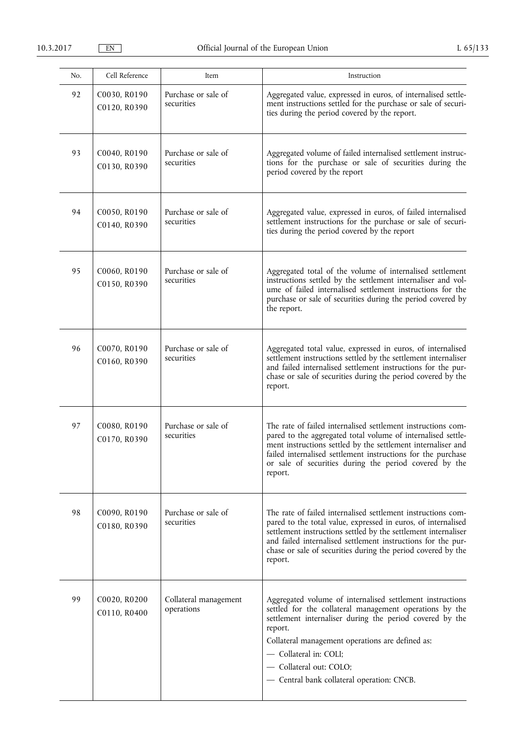| No. | Cell Reference               | Item                                | Instruction                                                                                                                                                                                                                                                                                                                                        |
|-----|------------------------------|-------------------------------------|----------------------------------------------------------------------------------------------------------------------------------------------------------------------------------------------------------------------------------------------------------------------------------------------------------------------------------------------------|
| 92  | C0030, R0190<br>C0120, R0390 | Purchase or sale of<br>securities   | Aggregated value, expressed in euros, of internalised settle-<br>ment instructions settled for the purchase or sale of securi-<br>ties during the period covered by the report.                                                                                                                                                                    |
| 93  | C0040, R0190<br>C0130, R0390 | Purchase or sale of<br>securities   | Aggregated volume of failed internalised settlement instruc-<br>tions for the purchase or sale of securities during the<br>period covered by the report                                                                                                                                                                                            |
| 94  | C0050, R0190<br>C0140, R0390 | Purchase or sale of<br>securities   | Aggregated value, expressed in euros, of failed internalised<br>settlement instructions for the purchase or sale of securi-<br>ties during the period covered by the report                                                                                                                                                                        |
| 95  | C0060, R0190<br>C0150, R0390 | Purchase or sale of<br>securities   | Aggregated total of the volume of internalised settlement<br>instructions settled by the settlement internaliser and vol-<br>ume of failed internalised settlement instructions for the<br>purchase or sale of securities during the period covered by<br>the report.                                                                              |
| 96  | C0070, R0190<br>C0160, R0390 | Purchase or sale of<br>securities   | Aggregated total value, expressed in euros, of internalised<br>settlement instructions settled by the settlement internaliser<br>and failed internalised settlement instructions for the pur-<br>chase or sale of securities during the period covered by the<br>report.                                                                           |
| 97  | C0080, R0190<br>C0170, R0390 | Purchase or sale of<br>securities   | The rate of failed internalised settlement instructions com-<br>pared to the aggregated total volume of internalised settle-<br>ment instructions settled by the settlement internaliser and<br>failed internalised settlement instructions for the purchase<br>or sale of securities during the period covered by the<br>report.                  |
| 98  | C0090, R0190<br>C0180, R0390 | Purchase or sale of<br>securities   | The rate of failed internalised settlement instructions com-<br>pared to the total value, expressed in euros, of internalised<br>settlement instructions settled by the settlement internaliser<br>and failed internalised settlement instructions for the pur-<br>chase or sale of securities during the period covered by the<br>report.         |
| 99  | C0020, R0200<br>C0110, R0400 | Collateral management<br>operations | Aggregated volume of internalised settlement instructions<br>settled for the collateral management operations by the<br>settlement internaliser during the period covered by the<br>report.<br>Collateral management operations are defined as:<br>- Collateral in: COLI;<br>- Collateral out: COLO;<br>- Central bank collateral operation: CNCB. |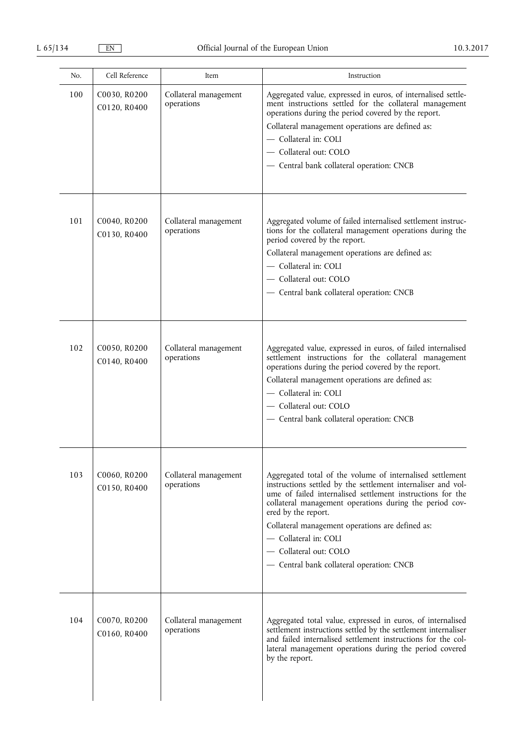| No. | Cell Reference               | Item                                | Instruction                                                                                                                                                                                                                                                                                                                                                                                                                   |
|-----|------------------------------|-------------------------------------|-------------------------------------------------------------------------------------------------------------------------------------------------------------------------------------------------------------------------------------------------------------------------------------------------------------------------------------------------------------------------------------------------------------------------------|
| 100 | C0030, R0200<br>C0120, R0400 | Collateral management<br>operations | Aggregated value, expressed in euros, of internalised settle-<br>ment instructions settled for the collateral management<br>operations during the period covered by the report.<br>Collateral management operations are defined as:<br>- Collateral in: COLI<br>- Collateral out: COLO<br>- Central bank collateral operation: CNCB                                                                                           |
| 101 | C0040, R0200<br>C0130, R0400 | Collateral management<br>operations | Aggregated volume of failed internalised settlement instruc-<br>tions for the collateral management operations during the<br>period covered by the report.<br>Collateral management operations are defined as:<br>- Collateral in: COLI<br>- Collateral out: COLO<br>- Central bank collateral operation: CNCB                                                                                                                |
| 102 | C0050, R0200<br>C0140, R0400 | Collateral management<br>operations | Aggregated value, expressed in euros, of failed internalised<br>settlement instructions for the collateral management<br>operations during the period covered by the report.<br>Collateral management operations are defined as:<br>- Collateral in: COLI<br>- Collateral out: COLO<br>- Central bank collateral operation: CNCB                                                                                              |
| 103 | C0060, R0200<br>C0150, R0400 | Collateral management<br>operations | Aggregated total of the volume of internalised settlement<br>instructions settled by the settlement internaliser and vol-<br>ume of failed internalised settlement instructions for the<br>collateral management operations during the period cov-<br>ered by the report.<br>Collateral management operations are defined as:<br>- Collateral in: COLI<br>- Collateral out: COLO<br>- Central bank collateral operation: CNCB |
| 104 | C0070, R0200<br>C0160, R0400 | Collateral management<br>operations | Aggregated total value, expressed in euros, of internalised<br>settlement instructions settled by the settlement internaliser<br>and failed internalised settlement instructions for the col-<br>lateral management operations during the period covered<br>by the report.                                                                                                                                                    |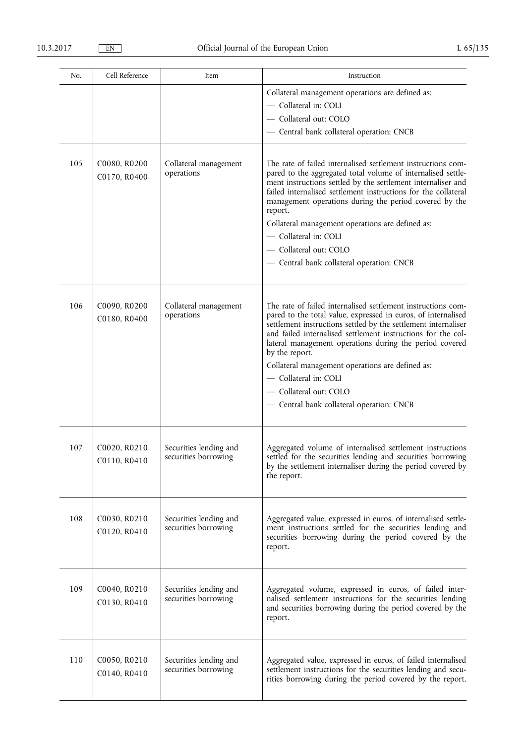| No. | Cell Reference               | Item                                           | Instruction                                                                                                                                                                                                                                                                                                                                                                                                      |
|-----|------------------------------|------------------------------------------------|------------------------------------------------------------------------------------------------------------------------------------------------------------------------------------------------------------------------------------------------------------------------------------------------------------------------------------------------------------------------------------------------------------------|
|     |                              |                                                | Collateral management operations are defined as:                                                                                                                                                                                                                                                                                                                                                                 |
|     |                              |                                                | - Collateral in: COLI                                                                                                                                                                                                                                                                                                                                                                                            |
|     |                              |                                                | - Collateral out: COLO                                                                                                                                                                                                                                                                                                                                                                                           |
|     |                              |                                                | - Central bank collateral operation: CNCB                                                                                                                                                                                                                                                                                                                                                                        |
|     |                              |                                                |                                                                                                                                                                                                                                                                                                                                                                                                                  |
| 105 | C0080, R0200<br>C0170, R0400 | Collateral management<br>operations            | The rate of failed internalised settlement instructions com-<br>pared to the aggregated total volume of internalised settle-<br>ment instructions settled by the settlement internaliser and<br>failed internalised settlement instructions for the collateral<br>management operations during the period covered by the<br>report.<br>Collateral management operations are defined as:<br>- Collateral in: COLI |
|     |                              |                                                | - Collateral out: COLO                                                                                                                                                                                                                                                                                                                                                                                           |
|     |                              |                                                | - Central bank collateral operation: CNCB                                                                                                                                                                                                                                                                                                                                                                        |
| 106 | C0090, R0200<br>C0180, R0400 | Collateral management<br>operations            | The rate of failed internalised settlement instructions com-<br>pared to the total value, expressed in euros, of internalised<br>settlement instructions settled by the settlement internaliser<br>and failed internalised settlement instructions for the col-<br>lateral management operations during the period covered<br>by the report.<br>Collateral management operations are defined as:                 |
|     |                              |                                                |                                                                                                                                                                                                                                                                                                                                                                                                                  |
|     |                              |                                                | - Collateral in: COLI                                                                                                                                                                                                                                                                                                                                                                                            |
|     |                              |                                                | - Collateral out: COLO                                                                                                                                                                                                                                                                                                                                                                                           |
|     |                              |                                                | - Central bank collateral operation: CNCB                                                                                                                                                                                                                                                                                                                                                                        |
| 107 | C0020, R0210<br>C0110, R0410 | Securities lending and<br>securities borrowing | Aggregated volume of internalised settlement instructions<br>settled for the securities lending and securities borrowing<br>by the settlement internaliser during the period covered by<br>the report.                                                                                                                                                                                                           |
| 108 | C0030, R0210<br>C0120, R0410 | Securities lending and<br>securities borrowing | Aggregated value, expressed in euros, of internalised settle-<br>ment instructions settled for the securities lending and<br>securities borrowing during the period covered by the<br>report.                                                                                                                                                                                                                    |
| 109 | C0040, R0210<br>C0130, R0410 | Securities lending and<br>securities borrowing | Aggregated volume, expressed in euros, of failed inter-<br>nalised settlement instructions for the securities lending<br>and securities borrowing during the period covered by the<br>report.                                                                                                                                                                                                                    |
| 110 | C0050, R0210<br>C0140, R0410 | Securities lending and<br>securities borrowing | Aggregated value, expressed in euros, of failed internalised<br>settlement instructions for the securities lending and secu-<br>rities borrowing during the period covered by the report.                                                                                                                                                                                                                        |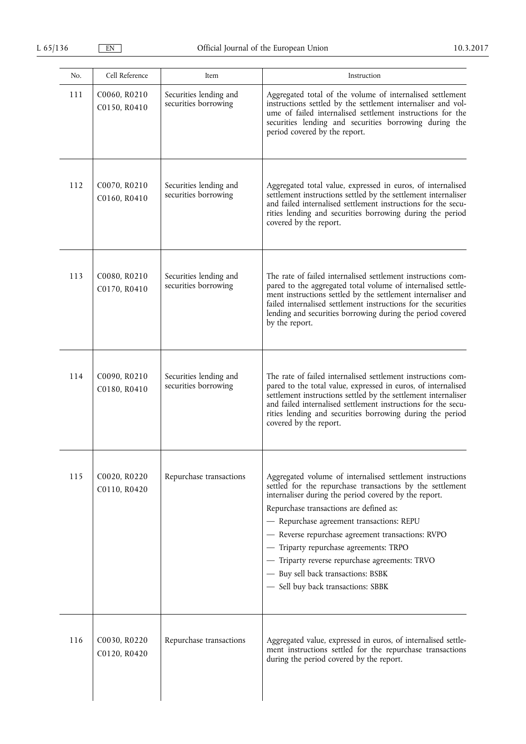| No. | Cell Reference               | Item                                           | Instruction                                                                                                                                                                                                                                                                                                                                                                                                                                                                                          |
|-----|------------------------------|------------------------------------------------|------------------------------------------------------------------------------------------------------------------------------------------------------------------------------------------------------------------------------------------------------------------------------------------------------------------------------------------------------------------------------------------------------------------------------------------------------------------------------------------------------|
| 111 | C0060, R0210<br>C0150, R0410 | Securities lending and<br>securities borrowing | Aggregated total of the volume of internalised settlement<br>instructions settled by the settlement internaliser and vol-<br>ume of failed internalised settlement instructions for the<br>securities lending and securities borrowing during the<br>period covered by the report.                                                                                                                                                                                                                   |
| 112 | C0070, R0210<br>C0160, R0410 | Securities lending and<br>securities borrowing | Aggregated total value, expressed in euros, of internalised<br>settlement instructions settled by the settlement internaliser<br>and failed internalised settlement instructions for the secu-<br>rities lending and securities borrowing during the period<br>covered by the report.                                                                                                                                                                                                                |
| 113 | C0080, R0210<br>C0170, R0410 | Securities lending and<br>securities borrowing | The rate of failed internalised settlement instructions com-<br>pared to the aggregated total volume of internalised settle-<br>ment instructions settled by the settlement internaliser and<br>failed internalised settlement instructions for the securities<br>lending and securities borrowing during the period covered<br>by the report.                                                                                                                                                       |
| 114 | C0090, R0210<br>C0180, R0410 | Securities lending and<br>securities borrowing | The rate of failed internalised settlement instructions com-<br>pared to the total value, expressed in euros, of internalised<br>settlement instructions settled by the settlement internaliser<br>and failed internalised settlement instructions for the secu-<br>rities lending and securities borrowing during the period<br>covered by the report.                                                                                                                                              |
| 115 | C0020, R0220<br>C0110, R0420 | Repurchase transactions                        | Aggregated volume of internalised settlement instructions<br>settled for the repurchase transactions by the settlement<br>internaliser during the period covered by the report.<br>Repurchase transactions are defined as:<br>- Repurchase agreement transactions: REPU<br>- Reverse repurchase agreement transactions: RVPO<br>- Triparty repurchase agreements: TRPO<br>- Triparty reverse repurchase agreements: TRVO<br>- Buy sell back transactions: BSBK<br>- Sell buy back transactions: SBBK |
| 116 | C0030, R0220<br>C0120, R0420 | Repurchase transactions                        | Aggregated value, expressed in euros, of internalised settle-<br>ment instructions settled for the repurchase transactions<br>during the period covered by the report.                                                                                                                                                                                                                                                                                                                               |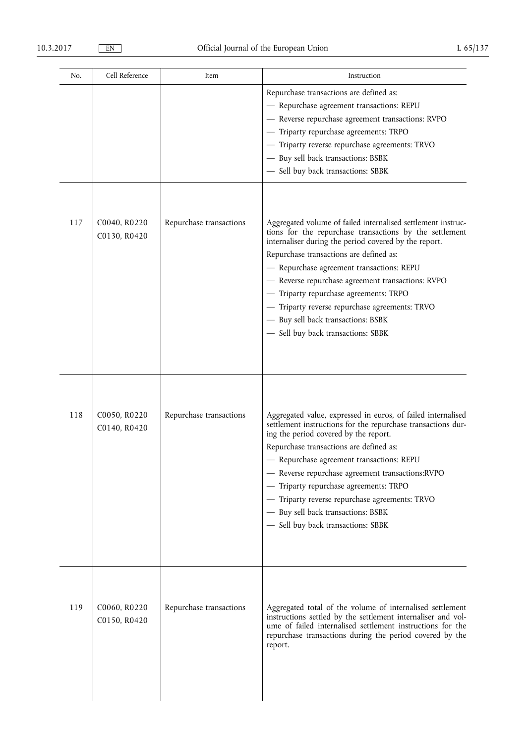| No. | Cell Reference               | Item                    | Instruction                                                                                                                                                                                                                                                                                                                                                                                                                                                                                           |
|-----|------------------------------|-------------------------|-------------------------------------------------------------------------------------------------------------------------------------------------------------------------------------------------------------------------------------------------------------------------------------------------------------------------------------------------------------------------------------------------------------------------------------------------------------------------------------------------------|
|     |                              |                         | Repurchase transactions are defined as:<br>- Repurchase agreement transactions: REPU<br>- Reverse repurchase agreement transactions: RVPO<br>- Triparty repurchase agreements: TRPO<br>- Triparty reverse repurchase agreements: TRVO<br>- Buy sell back transactions: BSBK<br>- Sell buy back transactions: SBBK                                                                                                                                                                                     |
| 117 | C0040, R0220<br>C0130, R0420 | Repurchase transactions | Aggregated volume of failed internalised settlement instruc-<br>tions for the repurchase transactions by the settlement<br>internaliser during the period covered by the report.<br>Repurchase transactions are defined as:<br>- Repurchase agreement transactions: REPU<br>- Reverse repurchase agreement transactions: RVPO<br>- Triparty repurchase agreements: TRPO<br>- Triparty reverse repurchase agreements: TRVO<br>- Buy sell back transactions: BSBK<br>- Sell buy back transactions: SBBK |
| 118 | C0050, R0220<br>C0140, R0420 | Repurchase transactions | Aggregated value, expressed in euros, of failed internalised<br>settlement instructions for the repurchase transactions dur-<br>ing the period covered by the report.<br>Repurchase transactions are defined as:<br>- Repurchase agreement transactions: REPU<br>- Reverse repurchase agreement transactions:RVPO<br>- Triparty repurchase agreements: TRPO<br>- Triparty reverse repurchase agreements: TRVO<br>- Buy sell back transactions: BSBK<br>- Sell buy back transactions: SBBK             |
| 119 | C0060, R0220<br>C0150, R0420 | Repurchase transactions | Aggregated total of the volume of internalised settlement<br>instructions settled by the settlement internaliser and vol-<br>ume of failed internalised settlement instructions for the<br>repurchase transactions during the period covered by the<br>report.                                                                                                                                                                                                                                        |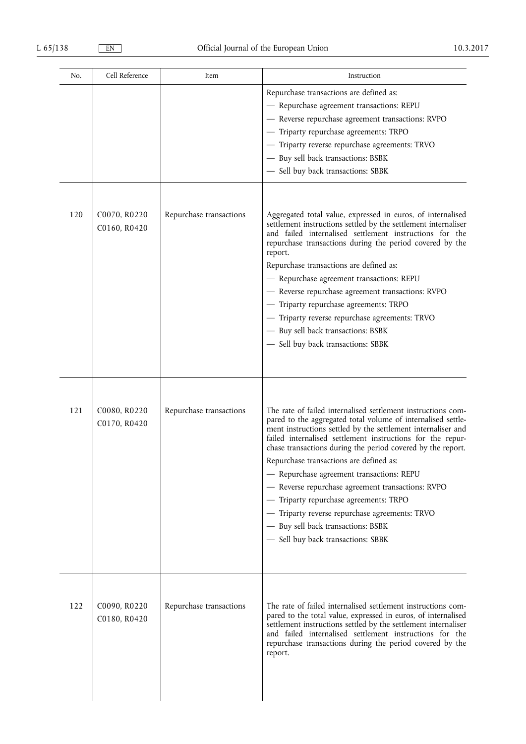| No. | Cell Reference               | Item                    | Instruction                                                                                                                                                                                                                                                                                                                                                                                                                                                                                                                                                                                                                                    |
|-----|------------------------------|-------------------------|------------------------------------------------------------------------------------------------------------------------------------------------------------------------------------------------------------------------------------------------------------------------------------------------------------------------------------------------------------------------------------------------------------------------------------------------------------------------------------------------------------------------------------------------------------------------------------------------------------------------------------------------|
|     |                              |                         | Repurchase transactions are defined as:<br>- Repurchase agreement transactions: REPU<br>- Reverse repurchase agreement transactions: RVPO<br>- Triparty repurchase agreements: TRPO<br>Triparty reverse repurchase agreements: TRVO<br>- Buy sell back transactions: BSBK<br>Sell buy back transactions: SBBK                                                                                                                                                                                                                                                                                                                                  |
| 120 | C0070, R0220<br>C0160, R0420 | Repurchase transactions | Aggregated total value, expressed in euros, of internalised<br>settlement instructions settled by the settlement internaliser<br>and failed internalised settlement instructions for the<br>repurchase transactions during the period covered by the<br>report.<br>Repurchase transactions are defined as:<br>- Repurchase agreement transactions: REPU<br>- Reverse repurchase agreement transactions: RVPO<br>- Triparty repurchase agreements: TRPO<br>- Triparty reverse repurchase agreements: TRVO<br>- Buy sell back transactions: BSBK<br>- Sell buy back transactions: SBBK                                                           |
| 121 | C0080, R0220<br>C0170, R0420 | Repurchase transactions | The rate of failed internalised settlement instructions com-<br>pared to the aggregated total volume of internalised settle-<br>ment instructions settled by the settlement internaliser and<br>failed internalised settlement instructions for the repur-<br>chase transactions during the period covered by the report.<br>Repurchase transactions are defined as:<br>- Repurchase agreement transactions: REPU<br>- Reverse repurchase agreement transactions: RVPO<br>- Triparty repurchase agreements: TRPO<br>- Triparty reverse repurchase agreements: TRVO<br>- Buy sell back transactions: BSBK<br>- Sell buy back transactions: SBBK |
| 122 | C0090, R0220<br>C0180, R0420 | Repurchase transactions | The rate of failed internalised settlement instructions com-<br>pared to the total value, expressed in euros, of internalised<br>settlement instructions settled by the settlement internaliser<br>and failed internalised settlement instructions for the<br>repurchase transactions during the period covered by the<br>report.                                                                                                                                                                                                                                                                                                              |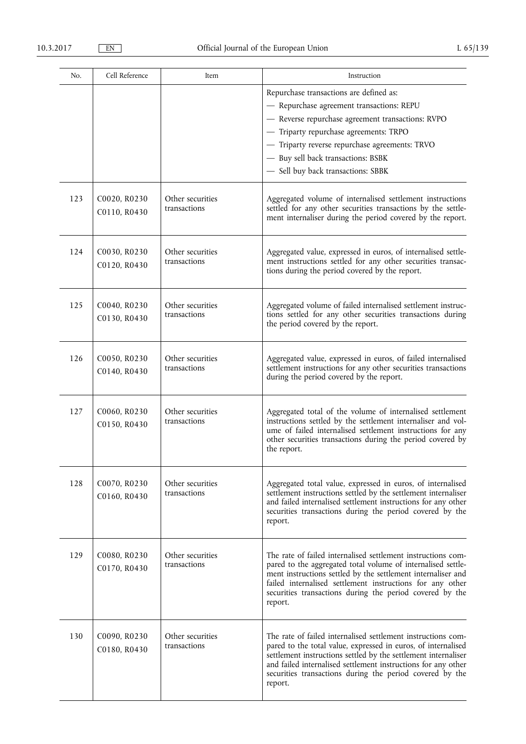| No. | Cell Reference               | Item                             | Instruction                                                                                                                                                                                                                                                                                                                             |
|-----|------------------------------|----------------------------------|-----------------------------------------------------------------------------------------------------------------------------------------------------------------------------------------------------------------------------------------------------------------------------------------------------------------------------------------|
|     |                              |                                  | Repurchase transactions are defined as:<br>- Repurchase agreement transactions: REPU<br>- Reverse repurchase agreement transactions: RVPO<br>- Triparty repurchase agreements: TRPO<br>- Triparty reverse repurchase agreements: TRVO<br>- Buy sell back transactions: BSBK<br>- Sell buy back transactions: SBBK                       |
| 123 | C0020, R0230<br>C0110, R0430 | Other securities<br>transactions | Aggregated volume of internalised settlement instructions<br>settled for any other securities transactions by the settle-<br>ment internaliser during the period covered by the report.                                                                                                                                                 |
| 124 | C0030, R0230<br>C0120, R0430 | Other securities<br>transactions | Aggregated value, expressed in euros, of internalised settle-<br>ment instructions settled for any other securities transac-<br>tions during the period covered by the report.                                                                                                                                                          |
| 125 | C0040, R0230<br>C0130, R0430 | Other securities<br>transactions | Aggregated volume of failed internalised settlement instruc-<br>tions settled for any other securities transactions during<br>the period covered by the report.                                                                                                                                                                         |
| 126 | C0050, R0230<br>C0140, R0430 | Other securities<br>transactions | Aggregated value, expressed in euros, of failed internalised<br>settlement instructions for any other securities transactions<br>during the period covered by the report.                                                                                                                                                               |
| 127 | C0060, R0230<br>C0150, R0430 | Other securities<br>transactions | Aggregated total of the volume of internalised settlement<br>instructions settled by the settlement internaliser and vol-<br>ume of failed internalised settlement instructions for any<br>other securities transactions during the period covered by<br>the report.                                                                    |
| 128 | C0070, R0230<br>C0160, R0430 | Other securities<br>transactions | Aggregated total value, expressed in euros, of internalised<br>settlement instructions settled by the settlement internaliser<br>and failed internalised settlement instructions for any other<br>securities transactions during the period covered by the<br>report.                                                                   |
| 129 | C0080, R0230<br>C0170, R0430 | Other securities<br>transactions | The rate of failed internalised settlement instructions com-<br>pared to the aggregated total volume of internalised settle-<br>ment instructions settled by the settlement internaliser and<br>failed internalised settlement instructions for any other<br>securities transactions during the period covered by the<br>report.        |
| 130 | C0090, R0230<br>C0180, R0430 | Other securities<br>transactions | The rate of failed internalised settlement instructions com-<br>pared to the total value, expressed in euros, of internalised<br>settlement instructions settled by the settlement internaliser<br>and failed internalised settlement instructions for any other<br>securities transactions during the period covered by the<br>report. |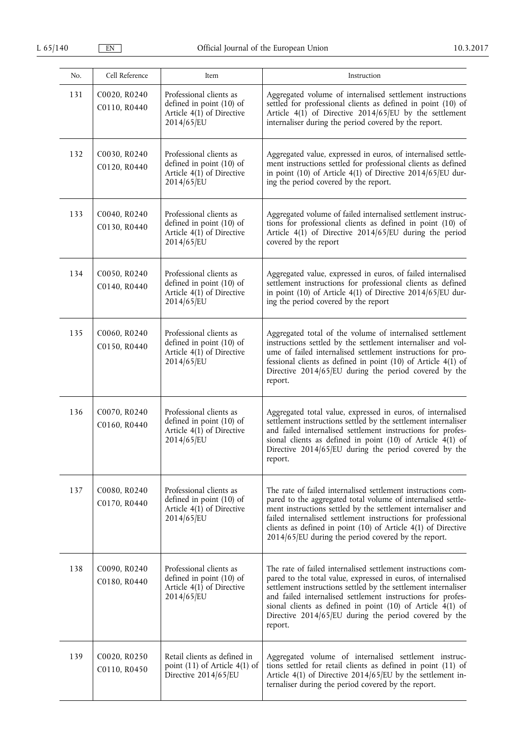| No. | Cell Reference               | Item                                                                                             | Instruction                                                                                                                                                                                                                                                                                                                                                                                      |
|-----|------------------------------|--------------------------------------------------------------------------------------------------|--------------------------------------------------------------------------------------------------------------------------------------------------------------------------------------------------------------------------------------------------------------------------------------------------------------------------------------------------------------------------------------------------|
| 131 | C0020, R0240<br>C0110, R0440 | Professional clients as<br>defined in point (10) of<br>Article $4(1)$ of Directive<br>2014/65/EU | Aggregated volume of internalised settlement instructions<br>settled for professional clients as defined in point (10) of<br>Article $4(1)$ of Directive 2014/65/EU by the settlement<br>internaliser during the period covered by the report.                                                                                                                                                   |
| 132 | C0030, R0240<br>C0120, R0440 | Professional clients as<br>defined in point (10) of<br>Article $4(1)$ of Directive<br>2014/65/EU | Aggregated value, expressed in euros, of internalised settle-<br>ment instructions settled for professional clients as defined<br>in point (10) of Article 4(1) of Directive $2014/65$ /EU dur-<br>ing the period covered by the report.                                                                                                                                                         |
| 133 | C0040, R0240<br>C0130, R0440 | Professional clients as<br>defined in point (10) of<br>Article $4(1)$ of Directive<br>2014/65/EU | Aggregated volume of failed internalised settlement instruc-<br>tions for professional clients as defined in point (10) of<br>Article $4(\overline{1})$ of Directive 2014/65/EU during the period<br>covered by the report                                                                                                                                                                       |
| 134 | C0050, R0240<br>C0140, R0440 | Professional clients as<br>defined in point (10) of<br>Article $4(1)$ of Directive<br>2014/65/EU | Aggregated value, expressed in euros, of failed internalised<br>settlement instructions for professional clients as defined<br>in point (10) of Article $4(1)$ of Directive 2014/65/EU dur-<br>ing the period covered by the report                                                                                                                                                              |
| 135 | C0060, R0240<br>C0150, R0440 | Professional clients as<br>defined in point (10) of<br>Article $4(1)$ of Directive<br>2014/65/EU | Aggregated total of the volume of internalised settlement<br>instructions settled by the settlement internaliser and vol-<br>ume of failed internalised settlement instructions for pro-<br>fessional clients as defined in point $(10)$ of Article $4(1)$ of<br>Directive 2014/65/EU during the period covered by the<br>report.                                                                |
| 136 | C0070, R0240<br>C0160, R0440 | Professional clients as<br>defined in point (10) of<br>Article $4(1)$ of Directive<br>2014/65/EU | Aggregated total value, expressed in euros, of internalised<br>settlement instructions settled by the settlement internaliser<br>and failed internalised settlement instructions for profes-<br>sional clients as defined in point (10) of Article $4(1)$ of<br>Directive 2014/65/EU during the period covered by the<br>report.                                                                 |
| 137 | C0080, R0240<br>C0170, R0440 | Professional clients as<br>defined in point (10) of<br>Article 4(1) of Directive<br>2014/65/EU   | The rate of failed internalised settlement instructions com-<br>pared to the aggregated total volume of internalised settle-<br>ment instructions settled by the settlement internaliser and<br>failed internalised settlement instructions for professional<br>clients as defined in point (10) of Article 4(1) of Directive<br>$2014/65$ /EU during the period covered by the report.          |
| 138 | C0090, R0240<br>C0180, R0440 | Professional clients as<br>defined in point (10) of<br>Article 4(1) of Directive<br>2014/65/EU   | The rate of failed internalised settlement instructions com-<br>pared to the total value, expressed in euros, of internalised<br>settlement instructions settled by the settlement internaliser<br>and failed internalised settlement instructions for profes-<br>sional clients as defined in point (10) of Article 4(1) of<br>Directive 2014/65/EU during the period covered by the<br>report. |
| 139 | C0020, R0250<br>C0110, R0450 | Retail clients as defined in<br>point $(11)$ of Article $4(1)$ of<br>Directive 2014/65/EU        | Aggregated volume of internalised settlement instruc-<br>tions settled for retail clients as defined in point (11) of<br>Article 4(1) of Directive 2014/65/EU by the settlement in-<br>ternaliser during the period covered by the report.                                                                                                                                                       |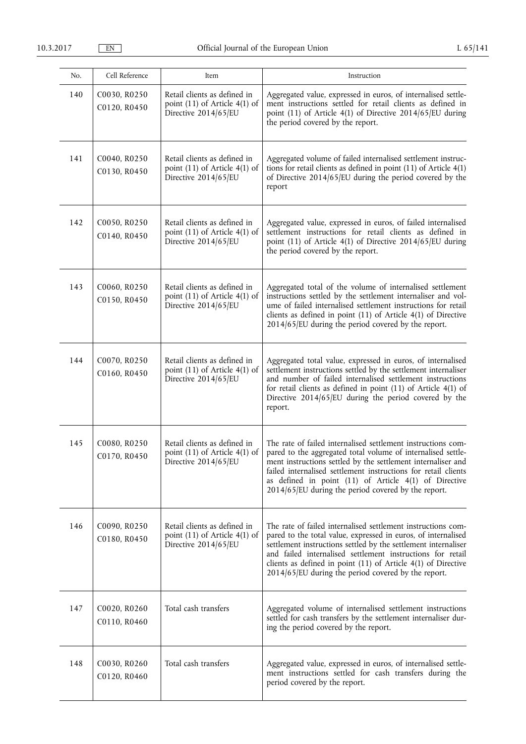| No. | Cell Reference               | Item                                                                                      | Instruction                                                                                                                                                                                                                                                                                                                                                                              |
|-----|------------------------------|-------------------------------------------------------------------------------------------|------------------------------------------------------------------------------------------------------------------------------------------------------------------------------------------------------------------------------------------------------------------------------------------------------------------------------------------------------------------------------------------|
| 140 | C0030, R0250<br>C0120, R0450 | Retail clients as defined in<br>point (11) of Article 4(1) of<br>Directive 2014/65/EU     | Aggregated value, expressed in euros, of internalised settle-<br>ment instructions settled for retail clients as defined in<br>point (11) of Article 4(1) of Directive 2014/65/EU during<br>the period covered by the report.                                                                                                                                                            |
| 141 | C0040, R0250<br>C0130, R0450 | Retail clients as defined in<br>point (11) of Article 4(1) of<br>Directive 2014/65/EU     | Aggregated volume of failed internalised settlement instruc-<br>tions for retail clients as defined in point $(11)$ of Article $4(1)$<br>of Directive 2014/65/EU during the period covered by the<br>report                                                                                                                                                                              |
| 142 | C0050, R0250<br>C0140, R0450 | Retail clients as defined in<br>point (11) of Article 4(1) of<br>Directive 2014/65/EU     | Aggregated value, expressed in euros, of failed internalised<br>settlement instructions for retail clients as defined in<br>point (11) of Article 4(1) of Directive 2014/65/EU during<br>the period covered by the report.                                                                                                                                                               |
| 143 | C0060, R0250<br>C0150, R0450 | Retail clients as defined in<br>point $(11)$ of Article $4(1)$ of<br>Directive 2014/65/EU | Aggregated total of the volume of internalised settlement<br>instructions settled by the settlement internaliser and vol-<br>ume of failed internalised settlement instructions for retail<br>clients as defined in point (11) of Article 4(1) of Directive<br>$2014/65$ /EU during the period covered by the report.                                                                    |
| 144 | C0070, R0250<br>C0160, R0450 | Retail clients as defined in<br>point (11) of Article 4(1) of<br>Directive 2014/65/EU     | Aggregated total value, expressed in euros, of internalised<br>settlement instructions settled by the settlement internaliser<br>and number of failed internalised settlement instructions<br>for retail clients as defined in point $(11)$ of Article 4(1) of<br>Directive 2014/65/EU during the period covered by the<br>report.                                                       |
| 145 | C0080, R0250<br>C0170, R0450 | Retail clients as defined in<br>point (11) of Article 4(1) of<br>Directive $2014/65$ /EU  | The rate of failed internalised settlement instructions com-<br>pared to the aggregated total volume of internalised settle-<br>ment instructions settled by the settlement internaliser and<br>failed internalised settlement instructions for retail clients<br>as defined in point (11) of Article 4(1) of Directive<br>$2014/65$ /EU during the period covered by the report.        |
| 146 | C0090, R0250<br>C0180, R0450 | Retail clients as defined in<br>point $(11)$ of Article $4(1)$ of<br>Directive 2014/65/EU | The rate of failed internalised settlement instructions com-<br>pared to the total value, expressed in euros, of internalised<br>settlement instructions settled by the settlement internaliser<br>and failed internalised settlement instructions for retail<br>clients as defined in point (11) of Article 4(1) of Directive<br>$2014/65$ /EU during the period covered by the report. |
| 147 | C0020, R0260<br>C0110, R0460 | Total cash transfers                                                                      | Aggregated volume of internalised settlement instructions<br>settled for cash transfers by the settlement internaliser dur-<br>ing the period covered by the report.                                                                                                                                                                                                                     |
| 148 | C0030, R0260<br>C0120, R0460 | Total cash transfers                                                                      | Aggregated value, expressed in euros, of internalised settle-<br>ment instructions settled for cash transfers during the<br>period covered by the report.                                                                                                                                                                                                                                |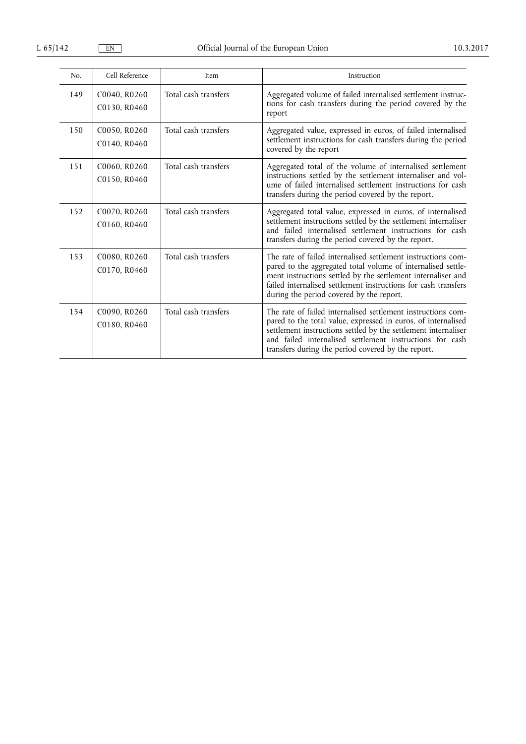| No. | Cell Reference               | Item                 | Instruction                                                                                                                                                                                                                                                                                                       |
|-----|------------------------------|----------------------|-------------------------------------------------------------------------------------------------------------------------------------------------------------------------------------------------------------------------------------------------------------------------------------------------------------------|
| 149 | C0040, R0260<br>C0130, R0460 | Total cash transfers | Aggregated volume of failed internalised settlement instruc-<br>tions for cash transfers during the period covered by the<br>report                                                                                                                                                                               |
| 150 | C0050, R0260<br>C0140, R0460 | Total cash transfers | Aggregated value, expressed in euros, of failed internalised<br>settlement instructions for cash transfers during the period<br>covered by the report                                                                                                                                                             |
| 151 | C0060, R0260<br>C0150, R0460 | Total cash transfers | Aggregated total of the volume of internalised settlement<br>instructions settled by the settlement internaliser and vol-<br>ume of failed internalised settlement instructions for cash<br>transfers during the period covered by the report.                                                                    |
| 152 | C0070, R0260<br>C0160, R0460 | Total cash transfers | Aggregated total value, expressed in euros, of internalised<br>settlement instructions settled by the settlement internaliser<br>and failed internalised settlement instructions for cash<br>transfers during the period covered by the report.                                                                   |
| 153 | C0080, R0260<br>C0170, R0460 | Total cash transfers | The rate of failed internalised settlement instructions com-<br>pared to the aggregated total volume of internalised settle-<br>ment instructions settled by the settlement internaliser and<br>failed internalised settlement instructions for cash transfers<br>during the period covered by the report.        |
| 154 | C0090, R0260<br>C0180, R0460 | Total cash transfers | The rate of failed internalised settlement instructions com-<br>pared to the total value, expressed in euros, of internalised<br>settlement instructions settled by the settlement internaliser<br>and failed internalised settlement instructions for cash<br>transfers during the period covered by the report. |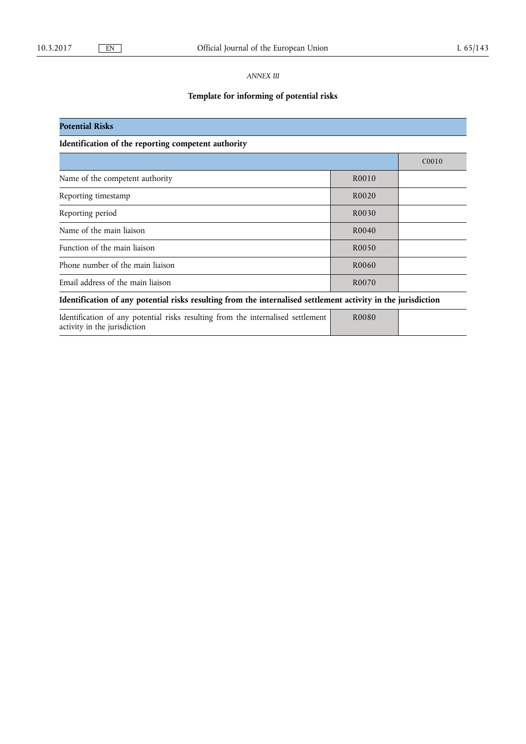**Potential Risks** 

## *ANNEX III*

# **Template for informing of potential risks**

**Identification of the reporting competent authority** 

|                                                                                                                  | C <sub>00</sub> 10 |  |  |  |
|------------------------------------------------------------------------------------------------------------------|--------------------|--|--|--|
| Name of the competent authority                                                                                  | R0010              |  |  |  |
| Reporting timestamp                                                                                              | R <sub>0</sub> 020 |  |  |  |
| Reporting period                                                                                                 | R0030              |  |  |  |
| Name of the main liaison                                                                                         | R <sub>0040</sub>  |  |  |  |
| Function of the main liaison                                                                                     | R <sub>0050</sub>  |  |  |  |
| Phone number of the main liaison                                                                                 | R0060              |  |  |  |
| Email address of the main liaison                                                                                | R0070              |  |  |  |
| Identification of any potential risks resulting from the internalised settlement activity in the jurisdiction    |                    |  |  |  |
| Identification of any potential risks resulting from the internalised settlement<br>activity in the jurisdiction | R <sub>0080</sub>  |  |  |  |